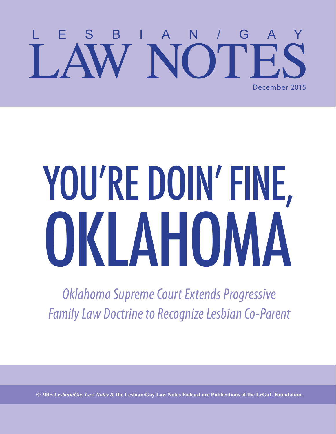### LESBIAN/GAY LAW NOTES December 2015

# YOU'RE DOIN' FINE, OKLAHOMA

*Oklahoma Supreme Court Extends Progressive Family Law Doctrine to Recognize Lesbian Co-Parent*

**© 2015** *Lesbian/Gay Law Notes* **& the Lesbian/Gay Law Notes Podcast are Publications of the LeGaL Foundation.**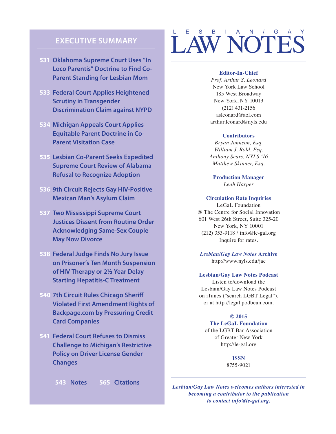#### **EXECUTIVE SUMMARY**

- **531 Oklahoma Supreme Court Uses "In Loco Parentis" Doctrine to Find Co-Parent Standing for Lesbian Mom**
- **533 Federal Court Applies Heightened Scrutiny in Transgender Discrimination Claim against NYPD**
- **534 Michigan Appeals Court Applies Equitable Parent Doctrine in Co-Parent Visitation Case**
- **535 Lesbian Co-Parent Seeks Expedited Supreme Court Review of Alabama Refusal to Recognize Adoption**
- **536 9th Circuit Rejects Gay HIV-Positive Mexican Man's Asylum Claim**
- **537 Two Mississippi Supreme Court Justices Dissent from Routine Order Acknowledging Same-Sex Couple May Now Divorce**
- **538 Federal Judge Finds No Jury Issue on Prisoner's Ten Month Suspension of HIV Therapy or 2½ Year Delay Starting Hepatitis-C Treatment**
- **540 7th Circuit Rules Chicago Sheriff Violated First Amendment Rights of Backpage.com by Pressuring Credit Card Companies**
- **541 Federal Court Refuses to Dismiss Challenge to Michigan's Restrictive Policy on Driver License Gender Changes**

### LESBIAN/GAY LAW NOTES

#### **Editor-In-Chief**

*Prof. Arthur S. Leonard*  New York Law School 185 West Broadway New York, NY 10013 (212) 431-2156 asleonard@aol.com arthur.leonard@nyls.edu

#### **Contributors**

*Bryan Johnson, Esq. William J. Rold, Esq. Anthony Sears, NYLS '16 Matthew Skinner, Esq.* 

**Production Manager** *Leah Harper*

**Circulation Rate Inquiries**  LeGaL Foundation @ The Centre for Social Innovation 601 West 26th Street, Suite 325-20 New York, NY 10001 (212) 353-9118 / info@le-gal.org Inquire for rates.

*Lesbian/Gay Law Notes* **Archive**  http://www.nyls.edu/jac

#### **Lesbian/Gay Law Notes Podcast**

Listen to/download the Lesbian/Gay Law Notes Podcast on iTunes ("search LGBT Legal"), or at http://legal.podbean.com.

#### **© 2015**

**The LeGaL Foundation**  of the LGBT Bar Association of Greater New York http://le-gal.org

> **ISSN**  8755-9021

*Lesbian/Gay Law Notes welcomes authors interested in becoming a contributor to the publication to contact info@le-gal.org.*

**543 Notes 565 Citations**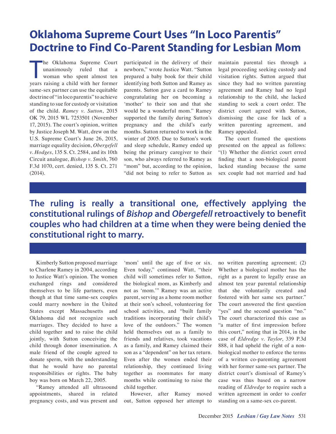### **Oklahoma Supreme Court Uses "In Loco Parentis" Doctrine to Find Co-Parent Standing for Lesbian Mom**

The Oklahoma Supreme Court<br>
unanimously ruled that a<br>
woman who spent almost ten<br>
years raising a child with her former he Oklahoma Supreme Court unanimously ruled that a woman who spent almost ten same-sex partner can use the equitable doctrine of "in loco parentis" to achieve standing to sue for custody or visitation of the child. *Ramey v. Sutton*, 2015 OK 79, 2015 WL 7253501 (November 17, 2015). The court's opinion, written by Justice Joseph M. Watt, drew on the U.S. Supreme Court's June 26, 2015, marriage equality decision, *Obergefell v. Hodges*, 135 S. Ct. 2584, and its 10th Circuit analogue, *Bishop v. Smith*, 760 F.3d 1070, cert. denied, 135 S. Ct. 271 (2014).

participated in the delivery of their newborn," wrote Justice Watt. "Sutton prepared a baby book for their child identifying both Sutton and Ramey as parents. Sutton gave a card to Ramey congratulating her on becoming a 'mother' to their son and that she would be a wonderful mom." Ramey supported the family during Sutton's pregnancy and the child's early months. Sutton returned to work in the winter of 2005. Due to Sutton's work and sleep schedule, Ramey ended up being the primary caregiver to their son, who always referred to Ramey as "mom" but, according to the opinion, "did not being to refer to Sutton as maintain parental ties through a legal proceeding seeking custody and visitation rights. Sutton argued that since they had no written parenting agreement and Ramey had no legal relationship to the child, she lacked standing to seek a court order. The district court agreed with Sutton, dismissing the case for lack of a written parenting agreement, and Ramey appealed.

The court framed the questions presented on the appeal as follows: "(1) Whether the district court erred finding that a non-biological parent lacked standing because the same sex couple had not married and had

**The ruling is really a transitional one, effectively applying the constitutional rulings of** *Bishop* **and** *Obergefell* **retroactively to benefit couples who had children at a time when they were being denied the constitutional right to marry.**

Kimberly Sutton proposed marriage to Charlene Ramey in 2004, according to Justice Watt's opinion. The women exchanged rings and considered themselves to be life partners, even though at that time same-sex couples could marry nowhere in the United States except Massachusetts and Oklahoma did not recognize such marriages. They decided to have a child together and to raise the child jointly, with Sutton conceiving the child through donor insemination. A male friend of the couple agreed to donate sperm, with the understanding that he would have no parental responsibilities or rights. The baby boy was born on March 22, 2005.

"Ramey attended all ultrasound appointments, shared in related pregnancy costs, and was present and

'mom' until the age of five or six. Even today," continued Watt, "their child will sometimes refer to Sutton, the biological mom, as Kimberly and not as 'mom.'" Ramey was an active parent, serving as a home room mother at their son's school, volunteering for school activities, and "built family traditions incorporating their child's love of the outdoors." The women held themselves out as a family to friends and relatives, took vacations as a family, and Ramey claimed their son as a "dependent" on her tax return. Even after the women ended their relationship, they continued living together as roommates for many months while continuing to raise the child together.

However, after Ramey moved out, Sutton opposed her attempt to

no written parenting agreement; (2) Whether a biological mother has the right as a parent to legally erase an almost ten year parental relationship that she voluntarily created and fostered with her same sex partner." The court answered the first question "yes" and the second question "no." The court characterized this case as "a matter of first impression before this court," noting that in 2014, in the case of *Eldredge v. Taylor*, 339 P.3d 888, it had upheld the right of a nonbiological mother to enforce the terms of a written co-parenting agreement with her former same-sex partner. The district court's dismissal of Ramey's case was thus based on a narrow reading of *Eldredge* to require such a written agreement in order to confer standing on a same-sex co-parent.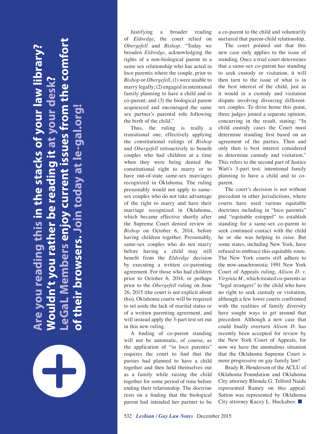**LeGaL Members enjoy current issues from the comfort**  eGaL Members enjoy current issues from the comfort. **Are you reading this in the stacks of your law library?**  re you reading this in the stacks of your law library **t** at vour desk? **Wouldn't you rather be reading it at your desk of their browsers. Join today at le-gal.org!** of their browsers. Join today at le-gal.org ouldn't you rather be reading



Justifying a broader reading of *Eldredge*, the court relied on *Obergefell* and *Bishop*. "Today we broaden *Eldredge*, acknowledging the rights of a non-biological parent in a same sex relationship who has acted in loco parentis where the couple, prior to *Bishop* or *Obergefell*, (1) were unable to marry legally; (2) engaged in intentional family planning to have a child and to co-parent; and (3) the biological parent acquiesced and encouraged the same sex partner's parental role following the birth of the child."

Thus, the ruling is really a transitional one, effectively applying the constitutional rulings of *Bishop* and *Obergefell* retroactively to benefit couples who had children at a time when they were being denied the constitutional right to marry or to have out-of-state same-sex marriages recognized in Oklahoma. The ruling presumably would not apply to samesex couples who do not take advantage of the right to marry and have their marriage recognized in Oklahoma, which became effective shortly after the Supreme Court denied review in *Bishop* on October 6, 2014, before having children together. Presumably, same-sex couples who do not marry before having a child may still benefit from the *Eldredge* decision by executing a written co-parenting agreement. For those who had children prior to October 6, 2014, or perhaps prior to the *Obergefell* ruling on June 26, 2015 (the court is not explicit about this), Oklahoma courts will be required to set aside the lack of marital status or of a written parenting agreement, and will instead apply the 3-part test set out in this new ruling.

A finding of co-parent standing will not be automatic, of course, as the application of "in loco parentis" requires the court to find that the parties had planned to have a child together and then held themselves out as a family while raising the child together for some period of time before ending their relationship. The doctrine rests on a finding that the biological parent had intended her partner to be a co-parent to the child and voluntarily nurtured that parent-child relationship.

The court pointed out that this new case only applies to the issue of standing. Once a trial court determines that a same-sex co-parent has standing to seek custody or visitation, it will then turn to the issue of what is in the best interest of the child, just as it would in a custody and visitation dispute involving divorcing differentsex couples. To drive home this point, three judges joined a separate opinion, concurring in the result, stating: "In child custody cases the Court must determine standing first based on an agreement of the parties. Then and only then is best interest considered to determine custody and visitation." This refers to the second part of Justice Watt's 3-part test: intentional family planning to have a child and to coparent.

The court's decision is not without precedent in other jurisdictions, where courts have used various equitable doctrines including in "loco parentis" and "equitable estoppel" to establish standing for a same-sex co-parent to seek continued contact with the child he or she was helping to raise. But some states, including New York, have refused to embrace this equitable route. The New York courts still adhere to the now-anachronistic 1991 New York Court of Appeals ruling, *Alison D. v. Virginia M.*, which treated co-parents as "legal strangers" to the child who have no right to seek custody or visitation, although a few lower courts confronted with the realities of family diversity have sought ways to get around that precedent. Although a new case that could finally overturn *Alison D.* has recently been accepted for review by the New York Court of Appeals, for now we have the anomalous situation that the Oklahoma Supreme Court is more progressive on gay family law!

Brady R. Henderson of the ACLU of Oklahoma Foundation and Oklahoma City attorney Rhonda G. Telford Naidu represented Ramey on this appeal. Sutton was represented by Oklahoma City attorney Kacey L. Huckabee. ■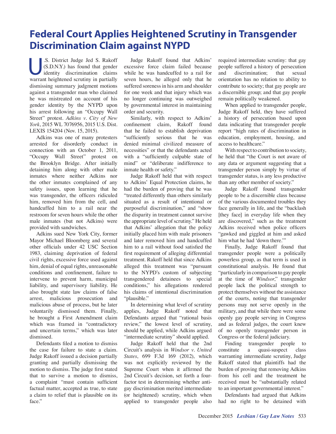### **Federal Court Applies Heightened Scrutiny in Transgender Discrimination Claim against NYPD**

.S. District Judge Jed S. Rakoff (S.D.N.Y.) has found that gender identity discrimination claims warrant heightened scrutiny in partially dismissing summary judgment motions against a transgender man who claimed he was mistreated on account of his gender identity by the NYPD upon his arrest following an "Occupy Wall Street" protest. *Adkins v. City of New York*, 2015 WL 7076956, 2015 U.S. Dist. LEXIS 154204 (Nov. 15, 2015).

Adkins was one of many protesters arrested for disorderly conduct in connection with an October 1, 2011, "Occupy Wall Street" protest on the Brooklyn Bridge. After initially detaining him along with other male inmates where neither Adkins nor the other inmates complained of any safety issues, upon learning that he was transgender, the officers ridiculed him, removed him from the cell, and handcuffed him to a rail near the restroom for seven hours while the other male inmates (but not Adkins) were provided with sandwiches.

Adkins sued New York City, former Mayor Michael Bloomberg and several other officials under 42 USC Section 1983, claiming deprivation of federal civil rights, excessive force used against him, denial of equal rights, unreasonable conditions and confinement, failure to intervene to prevent harm, municipal liability, and supervisory liability. He also brought state law claims of false arrest, malicious prosecution and malicious abuse of process, but he later voluntarily dismissed them. Finally, he brought a First Amendment claim which was framed in "contradictory and uncertain terms," which was later dismissed.

Defendants filed a motion to dismiss the case for failure to state a claim. Judge Rakoff issued a decision partially granting and partially dismissing the motion to dismiss. The judge first stated that to survive a motion to dismiss, a complaint "must contain sufficient factual matter, accepted as true, to state a claim to relief that is plausible on its face."

Judge Rakoff found that Adkins' excessive force claim failed because while he was handcuffed to a rail for seven hours, he alleged only that he suffered soreness in his arm and shoulder for one week and that injury which was no longer continuing was outweighed by governmental interest in maintaining order and security.

Similarly, with respect to Adkins' confinement claim, Rakoff found that he failed to establish deprivation "sufficiently serious that he was denied minimal civilized measure of necessities" or that the defendants acted with a "sufficiently culpable state of mind" or "deliberate indifference to inmate health or safety."

Judge Rakoff held that with respect to Adkins' Equal Protection claims, he had the burden of proving that he was "treated differently than others similarly situated as a result of intentional or purposeful discrimination," and "show the disparity in treatment cannot survive the appropriate level of scrutiny." He held that Adkins' allegation that the policy initially placed him with male prisoners and later removed him and handcuffed him to a rail without food satisfied the first requirement of alleging differential treatment. Rakoff held that since Adkins alleged this treatment was "pursuant to the NYPD's custom of subjecting transgendered detainees to special conditions," his allegations rendered his claims of intentional discrimination "plausible."

In determining what level of scrutiny applies, Judge Rakoff noted that Defendants argued that "rational basis review," the lowest level of scrutiny, should be applied, while Adkins argued "intermediate scrutiny" should applied.

Judge Rakoff held that the 2nd Circuit's analysis in *Windsor v. United States*, 699 F.3d 169 (2012), which was not explicitly reviewed by the Supreme Court when it affirmed the 2nd Circuit's decision, set forth a fourfactor test in determining whether antigay discrimination merited intermediate (or heightened) scrutiny, which when applied to transgender people also required intermediate scrutiny: that gay people suffered a history of persecution and discrimination; that sexual orientation has no relation to ability to contribute to society; that gay people are a discernible group; and that gay people remain politically weakened.

When applied to transgender people, Judge Rakoff held, they have suffered a history of persecution based upon data indicating that transgender people report "high rates of discrimination in education, employment, housing, and access to healthcare."

With respect to contribution to society, he held that "the Court is not aware of any data or argument suggesting that a transgender person simply by virtue of transgender status, is any less productive than any other member of society."

Judge Rakoff found transgender people to be a discernible class because of the various documented troubles they face generally in life, and the "backlash [they face] in everyday life when they are discovered," such as the treatment Adkins received when police officers "gawked and giggled at him and asked him what he had 'down there.'"

Finally, Judge Rakoff found that transgender people were a politically powerless group, as that term is used in constitutional analysis. He found that "particularly in comparison to gay people at the time of *Windsor*," transgender people lack the political strength to protect themselves without the assistance of the courts, noting that transgender persons may not serve openly in the military, and that while there were some openly gay people serving in Congress and as federal judges, the court knew of no openly transgender person in Congress or the federal judiciary.

Finding transgender people to constitute a quasi-suspect class warranting intermediate scrutiny, Judge Rakoff stated that plaintiffs had the burden of proving that removing Adkins from his cell and the treatment he received must be "substantially related to an important governmental interest."

Defendants had argued that Adkins had no right to be detained with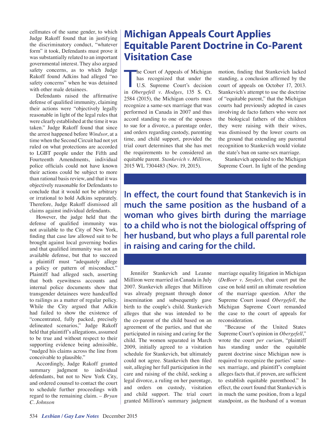cellmates of the same gender, to which Judge Rakoff found that in justifying the discriminatory conduct, "whatever form" it took, Defendants must prove it was substantially related to an important governmental interest. They also argued safety concerns, as to which Judge Rakoff found Adkins had alleged "no safety concerns" when he was detained with other male detainees.

Defendants raised the affirmative defense of qualified immunity, claiming their actions were "objectively legally reasonable in light of the legal rules that were clearly established at the time it was taken." Judge Rakoff found that since the arrest happened before *Windsor*, at a time when the Second Circuit had not yet ruled on what protections are accorded to LGBT people under the Fifth and Fourteenth Amendments, individual police officials could not have known their actions could be subject to more than rational basis review, and that it was objectively reasonable for Defendants to conclude that it would not be arbitrary or irrational to hold Adkins separately. Therefore, Judge Rakoff dismissed all claims against individual defendants.

However, the judge held that the defense of qualified immunity was not available to the City of New York, finding that case law allowed suit to be brought against local governing bodies and that qualified immunity was not an available defense, but that to succeed a plaintiff must "adequately allege a policy or pattern of misconduct." Plaintiff had alleged such, asserting that both eyewitness accounts and internal police documents show that transgender detainees were handcuffed to railings as a matter of regular policy. While the City argued that Adkin had failed to show the existence of "concentrated, fully packed, precisely delineated scenarios," Judge Rakoff held that plaintiff's allegations, assumed to be true and without respect to their supporting evidence being admissible, "nudged his claims across the line from conceivable to plausible."

Accordingly, Judge Rakoff granted summary judgment to individual defendants, but not to New York City, and ordered counsel to contact the court to schedule further proceedings with regard to the remaining claim. *– Bryan C. Johnson*

### **Michigan Appeals Court Applies Equitable Parent Doctrine in Co-Parent Visitation Case**

he Court of Appeals of Michigan<br>has recognized that under the<br>U.S. Supreme Court's decision<br>in *Obergefell v. Hodges*, 135 S. Ct. he Court of Appeals of Michigan has recognized that under the U.S. Supreme Court's decision 2584 (2015), the Michigan courts must recognize a same-sex marriage that was performed in Canada in 2007 and thus accord standing to one of the spouses to sue for a divorce, a parentage order, and orders regarding custody, parenting time, and child support, provided the trial court determines that she has met the requirements to be considered an equitable parent. *Stankevich v. Milliron*, 2015 WL 7304483 (Nov. 19, 2015).

motion, finding that Stankevich lacked standing, a conclusion affirmed by the court of appeals on October 17, 2013. Stankevich's attempt to use the doctrine of "equitable parent," that the Michigan courts had previously adopted in cases involving de facto fathers who were not the biological fathers of the children they were raising with their wives, was dismissed by the lower courts on the ground that extending any parental recognition to Stankevich would violate the state's ban on same-sex marriage.

Stankevich appealed to the Michigan Supreme Court. In light of the pending

**In effect, the court found that Stankevich is in much the same position as the husband of a woman who gives birth during the marriage to a child who is not the biological offspring of her husband, but who plays a full parental role in raising and caring for the child.** 

Jennifer Stankevich and Leanne Milliron were married in Canada in July 2007. Stankevich alleges that Milliron was already pregnant through donor insemination and subsequently gave birth to the couple's child. Stankevich alleges that she was intended to be the co-parent of the child based on an agreement of the parties, and that she participated in raising and caring for the child. The women separated in March 2009, initially agreed to a visitation schedule for Stankevich, but ultimately could not agree. Stankevich then filed suit, alleging her full participation in the care and raising of the child, seeking a legal divorce, a ruling on her parentage, and orders on custody, visitation and child support. The trial court granted Milliron's summary judgment marriage equality litigation in Michigan (*DeBoer v. Snyder*), that court put the case on hold until an ultimate resolution of the marriage question. After the Supreme Court issued *Obergefell*, the Michigan Supreme Court remanded the case to the court of appeals for reconsideration.

"Because of the United States Supreme Court's opinion in *Obergefell*," wrote the court *per curiam*, "plaintiff has standing under the equitable parent doctrine since Michigan now is required to recognize the parties' samesex marriage, and plaintiff's complaint alleges facts that, if proven, are sufficient to establish equitable parenthood." In effect, the court found that Stankevich is in much the same position, from a legal standpoint, as the husband of a woman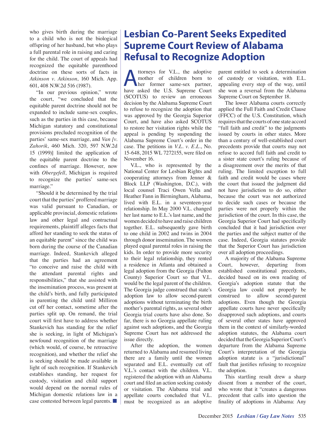who gives birth during the marriage to a child who is not the biological offspring of her husband, but who plays a full parental role in raising and caring for the child. The court of appeals had recognized the equitable parenthood doctrine on these sorts of facts in *Atkinson v. Atkinson*, 160 Mich. App. 601, 408 N.W.2d 516 (1987).

"In our previous opinion," wrote the court, "we concluded that the equitable parent doctrine should not be expanded to include same-sex couples, such as the parties in this case, because Michigan statutory and constitutional provisions precluded recognition of the parties' same-sex marriage, and *Van [v. Zahorik*, 460 Mich. 320, 597 N.W.2d 15 (1999)] limited the application of the equitable parent doctrine to the confines of marriage. However, now with *Obergefell*, Michigan is required to recognize the parties' same-sex marriage."

"Should it be determined by the trial court that the parties' proffered marriage was valid pursuant to Canadian, or applicable provincial, domestic relations law and other legal and contractual requirements, plaintiff alleges facts that afford her standing to seek the status of an equitable parent" since the child was born during the course of the Canadian marriage. Indeed, Stankevich alleged that the parties had an agreement "to conceive and raise the child with the attendant parental rights and responsibilities," that she assisted with the insemination process, was present at the child's birth, and fully participated in parenting the child until Milliron cut off her contact, sometime after the parties split up. On remand, the trial court will first have to address whether Stankevich has standing for the relief she is seeking, in light of Michigan's newfound recognition of the marriage (which would, of course, be retroactive recognition), and whether the relief she is seeking should be made available in light of such recognition. If Stankevich establishes standing, her request for custody, visitation and child support would depend on the normal rules of Michigan domestic relations law in a case contested between legal parents. ■

### **Lesbian Co-Parent Seeks Expedited Supreme Court Review of Alabama Refusal to Recognize Adoption**

Attorneys for V.L., the adoptive<br>
mother of children born to<br>
her former same-sex partner,<br>
have asked the U.S. Supreme Court mother of children born to have asked the U.S. Supreme Court (SCOTUS) to review an erroneous decision by the Alabama Supreme Court to refuse to recognize the adoption that was approved by the Georgia Superior Court, and have also asked SCOTUS to restore her visitation rights while the appeal is pending by suspending the Alabama Supreme Court's order in the case. The petitions in *V.L. v. E.L.*, No. 15-648, 2015 WL 7272155, were filed on November 16.

V.L., who is represented by the National Center for Lesbian Rights and cooperating attorneys from Jenner & Block LLP (Washington, D.C.), with local counsel Traci Owen Vella and Heather Fann in Birmingham, Alabama, lived with E.L. in a seventeen-year relationship. In May 2000 V.L. changed her last name to E.L.'s last name, and the women decided to have and raise children together. E.L. subsequently gave birth to one child in 2002 and twins in 2004 through donor insemination. The women played equal parental roles in raising the kids. In order to provide more security to their legal relationship, they rented a residence in Atlanta and obtained a legal adoption from the Georgia (Fulton County) Superior Court so that V.L. would be the legal parent of the children. The Georgia judge construed that state's adoption law to allow second-parent adoptions without terminating the birth mother's parental rights, as several other Georgia trial courts have also done. So far, there is no Georgia appellate ruling against such adoptions, and the Georgia Supreme Court has not addressed the issue directly.

After the adoption, the women returned to Alabama and resumed living there are a family until the women separated and E.L. eventually cut off V.L.'s contact with the children. V.L. registered the adoption with an Alabama court and filed an action seeking custody or visitation. The Alabama trial and appellate courts concluded that V.L. must be recognized as an adoptive parent entitled to seek a determination of custody or visitation, with E.L. appealing every step of the way, until she won a reversal from the Alabama Supreme Court on September 18.

The lower Alabama courts correctly applied the Full Faith and Credit Clause (FFCC) of the U.S. Constitution, which requires that the courts of one state accord "full faith and credit" to the judgments issued by courts in other states. More than a century of well-established court precedents provide that courts may not refuse to accord full faith and credit to a sister state court's ruling because of a disagreement over the merits of that ruling. The limited exception to full faith and credit would be cases where the court that issued the judgment did not have jurisdiction to do so, either because the court was not authorized to decide such cases or because the parties were not properly within the jurisdiction of the court. In this case, the Georgia Superior Court had specifically concluded that it had jurisdiction over the parties and the subject matter of the case. Indeed, Georgia statutes provide that the Superior Court has jurisdiction over all adoption proceedings.

A majority of the Alabama Supreme Court, however, departing from established constitutional precedents, decided based on its own reading of Georgia's adoption statute that the Georgia law could not properly be construed to allow second-parent adoptions. Even though the Georgia appellate courts have never specifically disapproved such adoptions, and courts of several other states have approved them in the context of similarly-worded adoption statutes, the Alabama court decided that the Georgia Superior Court's departure from the Alabama Supreme Court's interpretation of the Georgia adoption statute is a "jurisdictional" fault that justifies refusing to recognize the adoption.

This startling result drew a sharp dissent from a member of the court, who wrote that it "creates a dangerous precedent that calls into question the finality of adoptions in Alabama: Any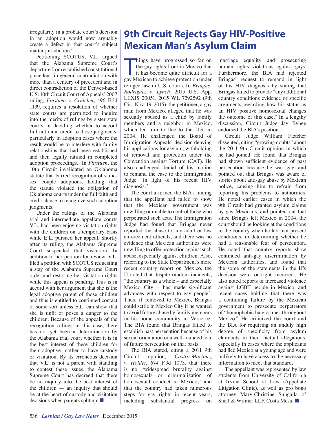irregularity in a probate court's decision in an adoption would now arguably create a defect in that court's subject matter jurisdiction."

Petitioning SCOTUS, V.L. argued that the Alabama Supreme Court's departure from established constitutional precedent, in general contradiction with more than a century of precedent and in direct contradiction of the Denver-based U.S. 10th Circuit Court of Appeals' 2007 ruling, *Finstuen v. Crutcher*, 496 F.3d 1139, requires a resolution of whether state courts are permitted to inquire into the merits of rulings by sister state courts in deciding whether to accord full faith and credit to those judgments, particularly in adoption cases where the result would be to interfere with family relationships that had been established and then legally ratified in completed adoption proceedings. In *Finstuen*, the 10th Circuit invalidated an Oklahoma statute that barred recognition of samesex couple adoptions, holding that the statute violated the obligation of Oklahoma courts under the full faith and credit clause to recognize such adoption judgments.

Under the rulings of the Alabama trial and intermediate appellate courts V.L. had been enjoying visitation rights with the children on a temporary basis while E.L. pursued her appeal. Shortly after its ruling, the Alabama Supreme Court suspended that visitation. In addition to her petition for review, V.L. filed a petition with SCOTUS requesting a stay of the Alabama Supreme Court order and restoring her visitation rights while this appeal is pending. This is in accord with her argument that she is the legal adoptive parent of those children and thus is entitled to continued contact of some sort unless E.L. can show that she is unfit or poses a danger to the children. Because of the appeals of the recognition rulings in this case, there has not yet been a determination by the Alabama trial court whether it is in the best interest of these children for their adoptive mother to have custody or visitation. By its erroneous decision that V.L. is not a parent with standing to contest these issues, the Alabama Supreme Court has decreed that there be no inquiry into the best interest of the children — an inquiry that should be at the heart of custody and visitation decisions when parents split up. ■

### **9th Circuit Rejects Gay HIV-Positive Mexican Man's Asylum Claim**

hings have progressed so far on<br>the gay rights front in Mexico that<br>it has become quite difficult for a<br>gay Mexican to achieve protection under hings have progressed so far on the gay rights front in Mexico that it has become quite difficult for a refugee law in U.S. courts. In *Bringas-Rodriguez v. Lynch*, 2015 U.S. App. LEXIS 20051, 2015 WL 7292592 (9th Cir., Nov. 19, 2015), the petitioner, a gay man from Mexico, alleged that he was sexually abused as a child by family members and a neighbor in Mexico, which led him to flee to the U.S. in 2004. He challenged the Board of Immigration Appeals' decision denying his applications for asylum, withholding of removal and protection under the Convention against Torture (CAT). He also challenged denial of his motion to remand the case to the Immigration Judge "in light of his recent HIV diagnosis."

The court affirmed the BIA's finding that the appellant had failed to show that the Mexican government was unwilling or unable to control those who perpetrated such acts. The Immigration Judge had found that Bringas never reported the abuse to any adult or law enforcement officials, and there was no evidence that Mexican authorities were unwilling to offer protection against such abuse, especially against children. Also, referring to the State Department's more recent country report on Mexico, the IJ noted that despite random incidents, "the country as a whole – and especially Mexico City – has made significant advances with respect to gay people." Thus, if removed to Mexico, Bringas could settle in Mexico City if he wanted to avoid future abuse by family members in his home community in Veracruz. The BIA found that Bringas failed to establish past persecution because of his sexual orientation or a well-founded fear of future persecution on that basis.

The BIA stated, citing a 2011 9th Circuit opinion, *Castro-Martinez v. Holder*, 674 F.3d 1073, that there is no "widespread brutality against homosexuals or criminalization of homosexual conduct in Mexico," and that the country had taken numerous steps for gay rights in recent years, including substantial progress on marriage equality and prosecuting human rights violations against gays. Furthermore, the BIA had rejected Bringas' request to remand in light of his HIV diagnosis by stating that Bringas failed to provide "any additional country conditions evidence or specific arguments regarding how his status as an HIV positive homosexual changes the outcome of this case." In a lengthy discussion, Circuit Judge Jay Bybee endorsed the BIA's position.

Circuit Judge William Fletcher dissented, citing "growing doubts" about the 2011 9th Circuit opinion in which he had joined. He found that Bringas had shown sufficient evidence of past persecution because he was gay, and pointed out that Bringas was aware of stories about anti-gay abuse by Mexican police, causing him to refrain from reporting his problems to authorities. He noted earlier cases in which the 9th Circuit had granted asylum claims by gay Mexicans, and pointed out that since Bringas left Mexico in 2004, the court should be looking at the conditions in the country when he left, not present conditions, in determining whether he had a reasonable fear of persecution. He noted that country reports show continued anti-gay discrimination by Mexican authorities, and found that the some of the statements in the IJ's decision were outright incorrect. He also noted reports of increased violence against LGBT people in Mexico, and recent cases holding that there was a continuing failure by the Mexican government to prosecute perpetrators of "homophobic hate crimes throughout Mexico." He criticized the court and the BIA for requiring an unduly high degree of specificity from asylum claimants in their factual allegations, especially in cases where the applicants had fled Mexico at a young age and were unlikely to have access to the necessary information to meet that standard.

The appellant was represented by law students from University of California at Irvine School of Law (Appellate Litigation Clinic), as well as pro bono attorney Mary-Christine Sungaila of Snell & Wilmer LLP, Costa Mesa. ■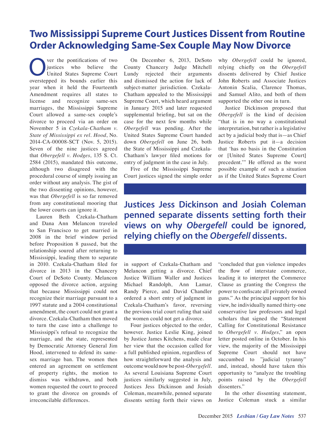### **Two Mississippi Supreme Court Justices Dissent from Routine Order Acknowledging Same-Sex Couple May Now Divorce**

ver the pontifications of two justices who believe the United States Supreme Court overstepped its bounds earlier this year when it held the Fourteenth Amendment requires all states to license and recognize same-sex marriages, the Mississippi Supreme Court allowed a same-sex couple's divorce to proceed via an order on November 5 in *Czekala-Chatham v. State of Mississippi ex rel. Hood*, No. 2014-CA-00008-SCT (Nov. 5, 2015). Seven of the nine justices agreed that *Obergefell v. Hodges*, 135 S. Ct. 2584 (2015), mandated this outcome, although two disagreed with the procedural course of simply issuing an order without any analysis. The gist of the two dissenting opinions, however, was that *Obergefell* is so far removed from any constitutional mooring that the lower courts can ignore it.

Lauren Beth Czekala-Chatham and Dana Ann Melancon traveled to San Francisco to get married in 2008 in the brief window period before Proposition 8 passed, but the relationship soured after returning to Mississippi, leading them to separate in 2010. Czekala-Chatham filed for divorce in 2013 in the Chancery Court of DeSoto County. Melancon opposed the divorce action, arguing that because Mississippi could not recognize their marriage pursuant to a 1997 statute and a 2004 constitutional amendment, the court could not grant a divorce. Czekala-Chatham then moved to turn the case into a challenge to Mississippi's refusal to recognize the marriage, and the state, represented by Democratic Attorney General Jim Hood, intervened to defend its samesex marriage ban. The women then entered an agreement on settlement of property rights, the motion to dismiss was withdrawn, and both women requested the court to proceed to grant the divorce on grounds of irreconcilable differences.

On December 6, 2013, DeSoto County Chancery Judge Mitchell Lundy rejected their arguments and dismissed the action for lack of subject-matter jurisdiction. Czekala-Chatham appealed to the Mississippi Supreme Court, which heard argument in January 2015 and later requested supplemental briefing, but sat on the case for the next few months while *Obergefell* was pending. After the United States Supreme Court handed down *Obergefell* on June 26, both the State of Mississippi and Czekala-Chatham's lawyer filed motions for entry of judgment in the case in July.

Five of the Mississippi Supreme Court justices signed the simple order why *Obergefell* could be ignored, relying chiefly on the *Obergefell* dissents delivered by Chief Justice John Roberts and Associate Justices Antonin Scalia, Clarence Thomas, and Samuel Alito, and both of them supported the other one in turn.

Justice Dickinson proposed that *Obergefell* is the kind of decision "that is in no way a constitutional interpretation, but rather is a legislative act by a judicial body that is—as Chief Justice Roberts put it—a decision that 'has no basis in the Constitution or [United States Supreme Court] precedent.'" He offered as the worst possible example of such a situation as if the United States Supreme Court

**Justices Jess Dickinson and Josiah Coleman penned separate dissents setting forth their views on why** *Obergefell* **could be ignored, relying chiefly on the** *Obergefell* **dissents.**

in support of Czekala-Chatham and Melancon getting a divorce. Chief Justice William Waller and Justices Michael Randolph, Ann Lamar, Randy Pierce, and David Chandler ordered a short entry of judgment in Czekala-Chatham's favor, reversing the previous trial court ruling that said the women could not get a divorce.

Four justices objected to the order, however. Justice Leslie King, joined by Justice James Kitchens, made clear her view that the occasion called for a full published opinion, regardless of how straightforward the analysis and outcome would now be post-*Obergefell*. As several Louisiana Supreme Court justices similarly suggested in July, Justices Jess Dickinson and Josiah Coleman, meanwhile, penned separate dissents setting forth their views on "concluded that gun violence impedes the flow of interstate commerce, leading it to interpret the Commerce Clause as granting the Congress the power to confiscate all privately owned guns." As the principal support for his view, he individually named thirty-one conservative law professors and legal scholars that signed the "Statement Calling for Constitutional Resistance to *Obergefell v. Hodges*," an open letter posted online in October. In his view, the majority of the Mississippi Supreme Court should not have succumbed to "judicial tyranny" and, instead, should have taken this opportunity to "analyze the troubling points raised by the *Obergefell* dissenters."

In the other dissenting statement, Justice Coleman stuck a similar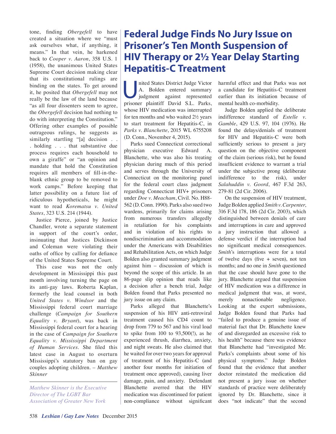tone, finding *Obergefell* to have created a situation where we "must ask ourselves what, if anything, it means." In that vein, he harkened back to *Cooper v. Aaron*, 358 U.S. 1 (1958), the unanimous United States Supreme Court decision making clear that its constitutional rulings are binding on the states. To get around it, he posited that *Obergefell* may not really be the law of the land because "as all four dissenters seem to agree, the *Obergefell* decision had nothing to do with interpreting the Constitution." Offering other examples of possible outrageous rulings, he suggests as similarly startling "[a] decision . . . holding . . . that substantive due process requires each household to own a giraffe" or "an opinion and mandate that hold the Constitution requires all members of fill-in-theblank ethnic group to be removed to work camps." Before keeping that latter possibility on a future list of ridiculous hypotheticals, he might want to read *Korematsu v. United States*, 323 U.S. 214 (1944).

Justice Pierce, joined by Justice Chandler, wrote a separate statement in support of the court's order, insinuating that Justices Dickinson and Coleman were violating their oaths of office by calling for defiance of the United States Supreme Court.

This case was not the only development in Mississippi this past month involving turning the page on its anti-gay laws. Roberta Kaplan, formerly the lead counsel in both *United States v. Windsor* and the Mississippi federal court marriage challenge (*Campaign for Southern Equality v. Bryant*), was back in Mississippi federal court for a hearing in the case of *Campaign for Southern Equality v. Mississippi Department of Human Services*. She filed this latest case in August to overturn Mississippi's statutory ban on gay couples adopting children. – *Matthew Skinner* 

*Matthew Skinner is the Executive Director of The LGBT Bar Association of Greater New York*

### **Federal Judge Finds No Jury Issue on Prisoner's Ten Month Suspension of HIV Therapy or 2½ Year Delay Starting Hepatitis-C Treatment**

nited States District Judge Victor<br>
A. Bolden entered summary<br>
judgment against represented<br>
prisoner plaintiff David S.L. Parks A. Bolden entered summary prisoner plaintiff David S.L. Parks, whose HIV medication was interrupted for ten months and who waited 2½ years to start treatment for Hepatitis-C, in *Parks v. Blanchette*, 2015 WL 6755208 (D. Conn., November 4, 2015).

Parks sued Connecticut correctional physician executive Edward A. Blanchette, who was also his treating physician during much of this period and serves through the University of Connecticut on the monitoring panel for the federal court class judgment regarding Connecticut HIV+ prisoners under *Doe v. Meacham*, Civil. No. H88- 562 (D. Conn. 1990). Parks also sued two wardens, primarily for claims arising from numerous transfers allegedly in retaliation for his complaints and in violation of his rights to nondiscrimination and accommodation under the Americans with Disabilities and Rehabilitation Acts, on which Judge Bolden also granted summary judgment against him – discussion of which is beyond the scope of this article. In an 86-page slip opinion that reads like a decision after a bench trial, Judge Bolden found that Parks presented no jury issue on any claim.

Parks alleged that Blanchette's suspension of his HIV anti-retroviral treatment caused his CD4 count to drop from 779 to 567 and his viral load to spike from 100 to 93,500(!), as he experienced thrush, diarrhea, anxiety, and night sweats. He also claimed that he waited for over two years for approval of treatment of his Hepatitis-C (and another four months for initiation of treatment once approved), causing liver damage, pain, and anxiety. Defendant Blanchette averred that the HIV medication was discontinued for patient non-compliance without significant harmful effect and that Parks was not a candidate for Hepatitis-C treatment earlier than its initiation because of mental health co-morbidity.

Judge Bolden applied the deliberate indifference standard of *Estelle v. Gamble*, 429 U.S. 97, 104 (1976). He found the delays/denials of treatment for HIV and Hepatitis-C were both sufficiently serious to present a jury question on the objective component of the claim (serious risk), but he found insufficient evidence to warrant a trial under the subjective prong (deliberate indifference to the risk), under *Salahuddin v. Goord*, 467 F.3d 263, 279-81 (2d Cir. 2006).

On the suspension of HIV treatment, Judge Bolden applied *Smith v. Carpenter*, 316 F.3d 178, 186 (2d Cir. 2003), which distinguished between denials of care and interruptions in care and approved a jury instruction that allowed a defense verdict if the interruption had no significant medical consequences. *Smith*'s interruptions were for a total of twelve days (five + seven), not ten months; and no one in *Smith* questioned that the case should have gone to the jury. Blanchette argued that suspension of HIV medication was a difference in medical judgment that was, at worst, merely nonactionable negligence. Looking at the expert submissions, Judge Bolden found that Parks had "failed to produce a genuine issue of material fact that Dr. Blanchette knew of and disregarded an excessive risk to his health" because there was evidence that Blanchette had "investigated Mr. Parks's complaints about some of his physical symptoms." Judge Bolden found that the evidence that another doctor reinstated the medication did not present a jury issue on whether standards of practice were deliberately ignored by Dr. Blanchette, since it does "not indicate" that the second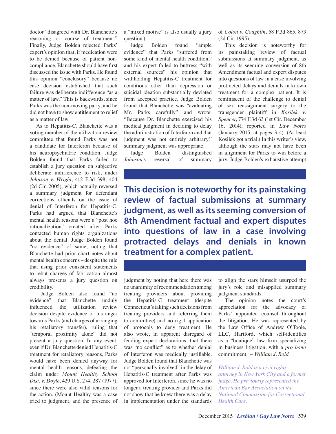doctor "disagreed with Dr. Blanchette's reasoning or course of treatment." Finally, Judge Bolden rejected Parks' expert's opinion that, if medication were to be denied because of patient noncompliance, Blanchette should have first discussed the issue with Parks. He found this opinion "conclusory" because no case decision established that such failure was deliberate indifference "as a matter of law." This is backwards, since Parks was the non-moving party, and he did not have to show entitlement to relief as a matter of law.

As to Hepatitis-C, Blanchette was a voting member of the utilization review committee that found Parks was not a candidate for Interferon because of his neuropsychiatric condition. Judge Bolden found that Parks failed to establish a jury question on subjective deliberate indifference to risk, under *Johnson v. Wright*, 412 F.3d 398, 404 (2d Cir. 2005), which actually reversed a summary judgment for defendant corrections officials on the issue of denial of Interferon for Hepatitis-C. Parks had argued that Blanchette's mental health reasons were a "post hoc rationalization" created after Parks contacted human rights organizations about the denial. Judge Bolden found "no evidence" of same, noting that Blanchette had prior chart notes about mental health concerns – despite the rule that using prior consistent statements to rebut charges of fabrication almost always presents a jury question on credibility.

 Judge Bolden also found "no evidence" that Blanchette unduly influenced the utilization review decision despite evidence of his anger towards Parks (and charges of arranging his retaliatory transfer), ruling that "temporal proximity alone" did not present a jury question. In any event, even if Dr. Blanchette denied Hepatitis-C treatment for retaliatory reasons, Parks would have been denied anyway for mental health reasons, defeating the claim under *Mount Healthy School Dist. v. Doyle*, 429 U.S. 274, 287 (1977), since there were also valid reasons for the action. (Mount Healthy was a case tried to judgment, and the presence of

a "mixed motive" is also usually a jury question.)

Judge Bolden found "ample evidence" that Parks "suffered from some kind of mental health condition," and his expert failed to buttress "with external sources" his opinion that withholding Hepatitis-C treatment for conditions other than depression or suicidal ideation substantially deviated from accepted practice. Judge Bolden found that Blanchette was "evaluating Mr. Parks carefully" and wrote: "Because Dr. Blanchette exercised his medical judgment in deciding to delay the administration of Interferon and that judgment was not entirely arbitrary," summary judgment was appropriate.

Judge Bolden distinguished *Johnson*'s reversal of summary of *Colon v. Coughlin*, 58 F.3d 865, 873 (2d Cir. 1995).

This decision is noteworthy for its painstaking review of factual submissions at summary judgment, as well as its seeming conversion of 8th Amendment factual and expert disputes into questions of law in a case involving protracted delays and denials in known treatment for a complex patient. It is reminiscent of the challenge to denial of sex reassignment surgery to the transgender plaintiff in *Kosilek v. Spencer*, 774 F.3d 63 (1st Cir. December 16, 2014), reported in *Law Notes* (January 2015, at pages 3-4). (At least Kosilek got a trial.) In this writer's view, although the stars may not have been in alignment for Parks to win before a jury, Judge Bolden's exhaustive attempt

**This decision is noteworthy for its painstaking review of factual submissions at summary judgment, as well as its seeming conversion of 8th Amendment factual and expert disputes into questions of law in a case involving protracted delays and denials in known treatment for a complex patient.**

judgment by noting that here there was no unanimity of recommendation among treating providers about providing the Hepatitis-C treatment (despite Connecticut's taking such decisions from treating providers and referring them to committee) and no rigid application of protocols to deny treatment. He also wrote, in apparent disregard of feuding expert declarations, that there was "no conflict" as to whether denial of Interferon was medically justifiable. Judge Bolden found that Blanchette was not "personally involved" in the delay of Hepatitis-C treatment after Parks was approved for Interferon, since he was no longer a treating provider and Parks did not show that he knew there was a delay in implementation under the standards to align the stars himself usurped the jury's role and misapplied summary judgment standards.

The opinion notes the court's appreciation for the advocacy of Parks' appointed counsel throughout the litigation. He was represented by the Law Office of Andrew O'Toole, LLC, Hartford, which self-identifies as a "boutique" law firm specializing in business litigation, with a *pro bono* commitment. – *William J. Rold*

*William J. Rold is a civil rights attorney in New York City and a former judge. He previously represented the American Bar Association on the National Commission for Correctional Health Care.*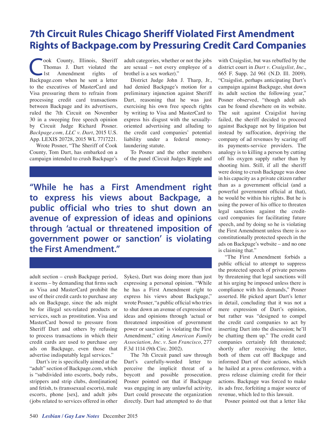### **7th Circuit Rules Chicago Sheriff Violated First Amendment Rights of Backpage.com by Pressuring Credit Card Companies**

**Cook County, Illinois, Sheriff<br>Thomas J. Dart violated the**<br>Ist Amendment rights of Thomas J. Dart violated the Amendment Backpage.com when he sent a letter to the executives of MasterCard and Visa pressuring them to refrain from processing credit card transactions between Backpage and its advertisers, ruled the 7th Circuit on November 30 in a sweeping free speech opinion by Circuit Judge Richard Posner. *Backpage.com, LLC v. Dart*, 2015 U.S. App. LEXIS 20728, 2015 WL 7717221.

Wrote Posner, "The Sheriff of Cook County, Tom Dart, has embarked on a campaign intended to crush Backpage's adult categories, whether or not the jobs are sexual – not every employee of a brothel is a sex worker)."

District Judge John J. Tharp, Jr., had denied Backpage's motion for a preliminary injunction against Sheriff Dart, reasoning that he was just exercising his own free speech rights by writing to Visa and MasterCard to express his disgust with the sexuallyoriented advertising and alluding to the credit card companies' potential liability under a federal moneylaundering statute.

To Posner and the other members of the panel (Circuit Judges Ripple and

**"While he has a First Amendment right to express his views about Backpage, a public official who tries to shut down an avenue of expression of ideas and opinions through 'actual or threatened imposition of government power or sanction' is violating the First Amendment."** 

adult section – crush Backpage period, it seems – by demanding that firms such as Visa and MasterCard prohibit the use of their credit cards to purchase any ads on Backpage, since the ads might be for illegal sex-related products or services, such as prostitution. Visa and MasterCard bowed to pressure from Sheriff Dart and others by refusing to process transactions in which their credit cards are used to purchase *any* ads on Backpage, even those that advertise indisputably legal services."

Dart's ire is specifically aimed at the "adult" section of Backpage.com, which is "subdivided into escorts, body rubs, strippers and strip clubs, dom[ination] and fetish, ts (transsexual escorts), male escorts, phone [sex], and adult jobs (jobs related to services offered in other

Sykes), Dart was doing more than just expressing a personal opinion. "While he has a First Amendment right to express his views about Backpage," wrote Posner, "a public official who tries to shut down an avenue of expression of ideas and opinions through 'actual or threatened imposition of government power or sanction' is violating the First Amendment," citing *American Family Association, Inc. v. San Francisco*, 277 F.3d 1114 (9th Circ. 2002).

The 7th Circuit panel saw through Dart's carefully-worded letter to perceive the implicit threat of a boycott and possible prosecution. Posner pointed out that if Backpage was engaging in any unlawful activity, Dart could prosecute the organization directly. Dart had attempted to do that with Craigslist, but was rebuffed by the district court in *Dart v. Craigslist, Inc.*, 665 F. Supp. 2d 961 (N.D. Ill. 2009). "Craigslist, perhaps anticipating Dart's campaign against Backpage, shut down its adult section the following year," Posner observed, "though adult ads can be found elsewhere on its website. The suit against Craigslist having failed, the sheriff decided to proceed against Backpage not by litigation but instead by suffocation, depriving the company of ad revenues by scaring off its payments-service providers. The analogy is to killing a person by cutting off his oxygen supply rather than by shooting him. Still, if all the sheriff were doing to crush Backpage was done in his capacity as a private citizen rather than as a government official (and a powerful government official at that), he would be within his rights. But he is using the power of his office to threaten legal sanctions against the creditcard companies for facilitating future speech, and by doing so he is violating the First Amendment unless there is *no* constitutionally protected speech in the ads on Backpage's website – and no one is claiming that."

"The First Amendment forbids a public official to attempt to suppress the protected speech of private persons by threatening that legal sanctions will at his urging be imposed unless there is compliance with his demands," Posner asserted. He picked apart Dart's letter in detail, concluding that it was not a mere expression of Dart's opinion, but rather was "designed to compel the credit card companies to act by inserting Dart into the discussion; he'll be chatting them up." The credit card companies certainly felt threatened; shortly after receiving the letter, both of them cut off Backpage and informed Dart of their actions, which he hailed at a press conference, with a press release claiming credit for their actions. Backpage was forced to make its ads free, forfeiting a major source of revenue, which led to this lawsuit.

Posner pointed out that a letter like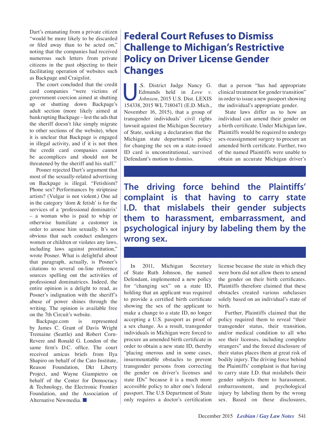Dart's emanating from a private citizen "would be more likely to be discarded or filed away than to be acted on," noting that the companies had received numerous such letters from private citizens in the past objecting to their facilitating operation of websites such as Backpage and Craigslist.

The court concluded that the credit card companies "were victims of government coercion aimed at shutting up or shutting down Backpage's adult section (more likely aimed at bankrupting Backpage – lest the ads that the sheriff doesn't like simply migrate to other sections of the website), when it is unclear that Backpage is engaged in illegal activity, and if it is not then the credit card companies cannot be accomplices and should not be threatened by the sheriff and his staff."

Posner rejected Dart's argument that most of the sexually-related advertising on Backpage is illegal. "Fetishism? Phone sex? Performances by striptease artists? (Vulgar is not violent.) One ad in the category 'dom & fetish' is for the services of a 'professional dominatrix' – a woman who is paid to whip or otherwise humiliate a customer in order to arouse him sexually. It's not obvious that such conduct endangers women or children or violates any laws, including laws against prostitution," wrote Posner. What is delightful about that paragraph, actually, is Posner's citations to several on-line reference sources spelling out the activities of professional dominatrices. Indeed, the entire opinion is a delight to read, as Posner's indignation with the sheriff's abuse of power shines through the writing. The opinion is available free on the 7th Circuit's website.

Backpage.com is represented by James C. Grant of Davis Wright Tremaine (Seattle) and Robert Corn-Revere and Ronald G. London of the same firm's D.C. office. The court received amicus briefs from Ilya Shapiro on behalf of the Cato Institute, Reason Foundation, Dkt Liberty Project, and Wayne Giampietro on behalf of the Center for Democracy & Technology, the Electronic Frontier Foundation, and the Association of Alternative Newmedia. ■

### **Federal Court Refuses to Dismiss Challenge to Michigan's Restrictive Policy on Driver License Gender Changes**

S. District Judge Nancy G.<br>Edmunds held in *Love v.*<br>Johnson, 2015 U.S. Dist. LEXIS Edmunds held in *Love v. Johnson*, 2015 U.S. Dist. LEXIS 154338, 2015 WL 7180471 (E.D. Mich., November 16, 2015), that a group of transgender individuals' civil rights lawsuit against the Michigan Secretary of State, seeking a declaration that the Michigan state department's policy for changing the sex on a state-issued ID card is unconstitutional, survived Defendant's motion to dismiss.

that a person "has had appropriate clinical treatment for gender transition" in order to issue a new passport showing the individual's appropriate gender.

State laws differ as to how an individual can amend their gender on a birth certificate. Under Michigan law, Plaintiffs would be required to undergo sex-reassignment surgery to procure an amended birth certificate. Further, two of the named Plaintiffs were unable to obtain an accurate Michigan driver's

**The driving force behind the Plaintiffs' complaint is that having to carry state I.D. that mislabels their gender subjects them to harassment, embarrassment, and psychological injury by labeling them by the wrong sex.** 

In 2011, Michigan Secretary of State Ruth Johnson, the named Defendant, implemented a new policy for "changing sex" on a state ID, holding that an applicant was required to provide a certified birth certificate showing the sex of the applicant to make a change to a state ID, no longer accepting a U.S. passport as proof of a sex change. As a result, transgender individuals in Michigan were forced to procure an amended birth certificate in order to obtain a new state ID, thereby "placing onerous and in some cases, insurmountable obstacles to prevent transgender persons from correcting the gender on driver's licenses and state IDs" because it is a much more accessible policy to alter one's federal passport. The U.S Department of State only requires a doctor's certification license because the state in which they were born did not allow them to amend the gender on their birth certificates. Plaintiffs therefore claimed that these obstacles created various subclasses solely based on an individual's state of birth.

Further, Plaintiffs claimed that the policy required them to reveal "their transgender status, their transition, and/or medical condition to all who see their licenses, including complete strangers" and the forced disclosure of their status places them at great risk of bodily injury. The driving force behind the Plaintiffs' complaint is that having to carry state I.D. that mislabels their gender subjects them to harassment, embarrassment, and psychological injury by labeling them by the wrong sex. Based on these disclosures,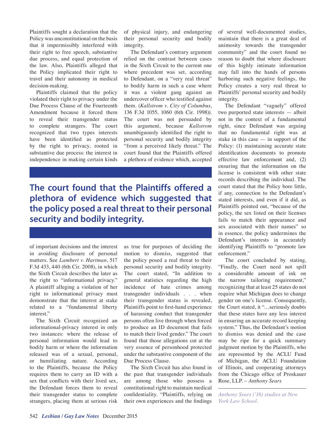Plaintiffs sought a declaration that the Policy was unconstitutional on the basis that it impermissibly interfered with their right to free speech, substantive due process, and equal protection of the law. Also, Plaintiffs alleged that the Policy implicated their right to travel and their autonomy in medical decision-making.

Plaintiffs claimed that the policy violated their right to privacy under the Due Process Clause of the Fourteenth Amendment because it forced them to reveal their transgender status to complete strangers. The court recognized that two types interests have been identified as protected by the right to privacy, rooted in substantive due process: the interest in independence in making certain kinds of physical injury, and endangering their personal security and bodily integrity.

The Defendant's contrary argument relied on the contrast between cases in the Sixth Circuit to the current one where precedent was set, according to Defendant, on a "very real threat" to bodily harm in such a case where it was a violent gang against an undercover officer who testified against them. (*Kallstrom v. City of Columbus*, 136 F.3d 1055, 1060 (6th Cir. 1998)). The court was not persuaded by this argument, because *Kallstrom* unambiguously identified the right to personal security and bodily integrity "from a perceived likely threat." The court found that the Plaintiffs offered a plethora of evidence which, accepted

### **The court found that the Plaintiffs offered a plethora of evidence which suggested that the policy posed a real threat to their personal security and bodily integrity.**

of important decisions and the interest in avoiding disclosure of personal matters. See *Lambert v. Hartman*, 517 F.3d 433, 440 (6th Cir. 2008), in which the Sixth Circuit describes the later as the right to "informational privacy." A plaintiff alleging a violation of her right to informational privacy must demonstrate that the interest at stake related to a "fundamental liberty interest."

The Sixth Circuit recognized an informational-privacy interest in only two instances: where the release of personal information would lead to bodily harm or where the information released was of a sexual, personal, or humiliating nature. According to the Plaintiffs, because the Policy requires them to carry an ID with a sex that conflicts with their lived sex, the Defendant forces them to reveal their transgender status to complete strangers, placing them at serious risk

as true for purposes of deciding the motion to dismiss, suggested that the policy posed a real threat to their personal security and bodily integrity. The court stated, "In addition to general statistics regarding the high incidence of hate crimes among transgender individuals . . . when their transgender status is revealed, Plaintiffs point to first-hand experience of harassing conduct that transgender persons often live through when forced to produce an ID document that fails to match their lived gender." The court found that those allegations cut at the very essence of personhood protected under the substantive component of the Due Process Clause.

The Sixth Circuit has also found in the past that transgender individuals are among those who possess a constitutional right to maintain medical confidentiality. "Plaintiffs, relying on their own experiences and the findings of several well-documented studies, maintain that there is a great deal of animosity towards the transgender community" and the court found no reason to doubt that where disclosure of this highly intimate information may fall into the hands of persons harboring such negative feelings, the Policy creates a very real threat to Plaintiffs' personal security and bodily integrity.

The Defendant "vaguely" offered two purported state interests — albeit not in the context of a fundamental right, since Defendant was arguing that no fundamental right was at stake in this case  $-$  in support of the Policy: (1) maintaining accurate state identification documents to promote effective law enforcement and, (2) ensuring that the information on the license is consistent with other state records describing the individual. The court stated that the Policy bore little, if any, connection to the Defendant's stated interests, and even if it did, as Plaintiffs pointed out, "because of the policy, the sex listed on their licenses fails to match their appearance and sex associated with their names" so in essence, the policy undermines the Defendant's interests in accurately identifying Plaintiffs to "promote law enforcement."

The court concluded by stating, "Finally, the Court need not spill a considerable amount of ink on the narrow tailoring requirement," recognizing that at least 25 states do not require what Michigan does to change gender on one's license. Consequently, the Court stated, it "…seriously doubts that these states have any less interest in ensuring an accurate record keeping system." Thus, the Defendant's motion to dismiss was denied and the case may be ripe for a quick summary judgment motion by the Plaintiffs, who are represented by the ACLU Fund of Michigan, the ACLU Foundation of Illinois, and cooperating attorneys from the Chicago office of Proskauer Rose, LLP. – *Anthony Sears*

*Anthony Sears ('16) studies at New York Law School.*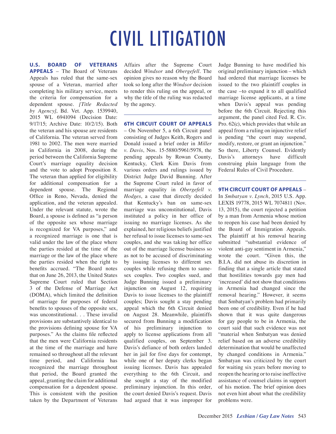**U.S. BOARD OF VETERANS APPEALS** – The Board of Veterans Appeals has ruled that the same-sex spouse of a Veteran, married after completing his military service, meets the criteria for compensation for a dependent spouse. *[Title Redacted by Agency]*, Bd. Vet. App. 1539940, 2015 WL 6941094 (Decision Date: 9/17/15; Archive Date: 10/2/15). Both the veteran and his spouse are residents of California. The veteran served from 1981 to 2002. The men were married in California in 2008, during the period between the California Supreme Court's marriage equality decision and the vote to adopt Proposition 8. The veteran than applied for eligibility for additional compensation for a dependent spouse. The Regional Office in Reno, Nevada, denied the application, and the veteran appealed. Under the relevant statute, wrote the Board, a spouse is defined as "a person of the opposite sex whose marriage is recognized for VA purposes," and a recognized marriage is one that is valid under the law of the place where the parties resided at the time of the marriage or the law of the place where the parties resided when the right to benefits accrued. "The Board notes that on June 26, 2013, the United States Supreme Court ruled that Section 3 of the Defense of Marriage Act (DOMA), which limited the definition of marriage for purposes of federal benefits to spouses of the opposite sex, was unconstitutional. . . These invalid provisions are substantively identical to the provisions defining spouse for VA purposes." As the claims file reflected that the men were California residents at the time of the marriage and have remained so throughout all the relevant time period, and California has recognized the marriage throughout that period, the Board granted the appeal, granting the claim for additional compensation for a dependent spouse. This is consistent with the position taken by the Department of Veterans

Affairs after the Supreme Court decided *Windsor* and *Obergefell*. The opinion gives no reason why the Board took so long after the *Windsor* decision to render this ruling on the appeal, or why the title of the ruling was redacted by the agency.

**6TH CIRCUIT COURT OF APPEALS**

– On November 5, a 6th Circuit panel consisting of Judges Keith, Rogers and Donald issued a brief order in *Miller v. Davis*, Nos. 15-5880/5961/5978, the pending appeals by Rowan County, Kentucky, Clerk Kim Davis from various orders and rulings issued by District Judge David Bunning. After the Supreme Court ruled in favor of marriage equality in *Obergefell v. Hodges*, a case that directly decided that Kentucky's ban on same-sex marriage was unconstitutional, Davis instituted a policy in her office of issuing no marriage licenses. As she explained, her religious beliefs justified her refusal to issue licenses to same-sex couples, and she was taking her office out of the marriage license business so as not to be accused of discriminating by issuing licenses to different sex couples while refusing them to samesex couples. Two couples sued, and Judge Bunning issued a preliminary injunction on August 12, requiring Davis to issue licenses to the plaintiff couples; Davis sought a stay pending appeal which the 6th Circuit denied on August 28. Meanwhile, plaintiffs secured from Bunning a modification of his preliminary injunction to apply to license applications from all qualified couples, on September 3. Davis's defiance of both orders landed her in jail for five days for contempt, while one of her deputy clerks began issuing licenses. Davis has appealed everything to the 6th Circuit, and she sought a stay of the modified preliminary injunction. In this order, the court denied Davis's request. Davis had argued that it was improper for Judge Bunning to have modified his original preliminary injunction – which had ordered that marriage licenses be issued to the two plaintiff couples in the case –to expand it to all qualified marriage license applicants, at a time when Davis's appeal was pending before the 6th Circuit. Rejecting this argument, the panel cited Fed. R. Civ. Pro. 62(c), which provides that while an appeal from a ruling on injunctive relief is pending "the court may suspend, modify, restore, or grant an injunction." So there, Liberty Counsel. Evidently Davis's attorneys have difficult construing plain language from the Federal Rules of Civil Procedure.

#### **9TH CIRCUIT COURT OF APPEALS** –

In *Smbatyan v. Lynch*, 2015 U.S. App. LEXIS 19778, 2015 WL 7074811 (Nov. 13, 2015), the court rejected a petition by a man from Armenia whose motion to reopen his case had been denied by the Board of Immigration Appeals. The plaintiff at his removal hearing submitted "substantial evidence of violent anti-gay sentiment in Armenia," wrote the court. "Given this, the B.I.A. did not abuse its discretion in finding that a single article that stated that hostilities towards gay men had 'increased' did not show that conditions in Armenia had changed since the removal hearing." However, it seems that Smbatyan's problem had primarily been one of credibility. Even if he had shown that it was quite dangerous for gay people to be in Armenia, the court said that such evidence was not "material when Smbatyan was denied relief based on an adverse credibility determination that would be unaffected by changed conditions in Armenia." Smbatyan was criticized by the court for waiting six years before moving to reopen the hearing or to raise ineffective assistance of counsel claims in support of his motion. The brief opinion does not even hint about what the credibility problems were.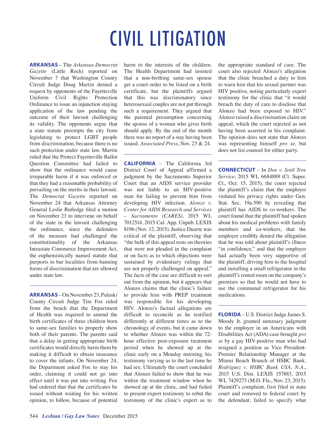**ARKANSAS** – The *Arkansas Democrat Gazette* (Little Rock) reported on November 7 that Washington County Circuit Judge Doug Martin denied a request by opponents of the Fayetteville Uniform Civil Rights Protection Ordinance to issue an injunction staying application of the law pending the outcome of their lawsuit challenging its validity. The opponents argue that a state statute preempts the city from legislating to protect LGBT people from discrimination, because there is no such protection under state law. Martin ruled that the Protect Fayetteville Ballot Question Committee had failed to show that the ordinance would cause irreparable harm if it was enforced or that they had a reasonable probability of prevailing on the merits in their lawsuit. The *Democrat Gazette* reported on November 24 that Arkansas Attorney General Leslie Rutledge filed a motion on November 23 to intervene on behalf of the state in the lawsuit challenging the ordinance, since the defenders of the measure had challenged the constitutionality of the Arkansas Intrastate Commerce Improvement Act, the euphemistically named statute that purports to bar localities from banning forms of discrimination that are allowed under state law.

**ARKANSAS** – On November 23, Pulaski County Circuit Judge Tim Fox ruled from the bench that the Department of Health was required to amend the birth certificates of three children born to same-sex families to properly show both of their parents. The parents said that a delay in getting appropriate birth certificates would directly harm them by making it difficult to obtain insurance to cover the infants. On November 24, the Department asked Fox to stay his order, claiming it could not go into effect until it was put into writing. Fox had ordered that that the certificates be issued without waiting for his written opinion, to follow, because of potential

harm to the interests of the children. The Health Department had insisted that a non-birthing same-sex spouse get a court order to be listed on a birth certificate, but the plaintiffs argued that this was discriminatory since heterosexual couples are not put through such a requirement. They argued that the parental presumption concerning the spouse of a woman who gives birth should apply. By the end of the month there was no report of a stay having been issued. *Associated Press*, Nov. 23 & 24.

**CALIFORNIA** – The California 3rd District Court of Appeal affirmed a judgment by the Sacramento Superior Court that an AIDS service provider was not liable to an HIV-positive man for failing to prevent him from developing HIV infection. *Alonzo v. Center for AIDS Research and Services – Sacramento (CARES)*, 2015 WL 7012514, 2015 Cal. App. Unpub. LEXIS 8196 (Nov. 12, 2015). Justice Duarte was critical of the plaintiff, observing that "the bulk of this appeal rests on theories that were not pleaded in the complaint or on facts as to which objections were sustained by evidentiary rulings that are not properly challenged on appeal." The facts of the case are difficult to sort out from the opinion, but it appears that Alonzo claims that the clinic's failure to provide him with PREP treatment was responsible for his developing HIV. Alonzo's factual allegations are difficult to reconcile as he testified differently at different times as to the chronology of events, but it came down to whether Alonzo was within the 72 hour effective post-exposure treatment period when he showed up at the clinic early on a Monday morning, his testimony varying as to the last time he had sex. Ultimately the court concluded that Alonzo failed to show that he was within the treatment window when he showed up at the clinic, and had failed to present expert testimony to rebut the testimony of the clinic's expert as to the appropriate standard of care. The court also rejected Alonzo's allegation that the clinic breached a duty to him to warn him that his sexual partner was HIV positive, noting particularly expert testimony for the clinic that "it would breach the duty of care to disclose that Alonzo had been exposed to HIV." Alonzo raised a discrimination claim on appeal, which the court rejected as not having been asserted in his complaint. The opinion does not state that Alonzo was representing himself *pro se*, but does not list counsel for either party.

**CONNECTICUT** – In *Doe v. Sotil Tree Service*, 2015 WL 6684889 (Ct. Super. Ct., Oct. 15, 2015), the court rejected the plaintiff's claim that the employer violated his privacy rights under Gen. Stat. Sec. 19a-590 by revealing that plaintiff has AIDS to co-workers. The court found that the plaintiff had spoken about his medical problems with family members and co-workers, that the employer credibly denied the allegation that he was told about plaintiff's illness "in confidence," and that the employer had actually been very supportive of the plaintiff, driving him to the hospital and installing a small refrigerator in the plaintiff's rented room on the company's premises so that he would not have to use the communal refrigerator for his medications.

**FLORIDA** – U.S. District Judge James S. Moody Jr. granted summary judgment to the employer in an Americans with Disabilities Act (ADA) case brought *pro se* by a gay HIV-positive man who had resigned a position as Vice President-Premier Relationship Manager at the Miami Beach Branch of HSBC Bank. *Rodriguez v. HSBC Bank USA, N.A.*, 2015 U.S. Dist. LEXIS 157883, 2015 WL 7429273 (M.D. Fla., Nov. 23, 2015). Plaintiff's complaint, first filed in state court and removed to federal court by the defendant, failed to specify what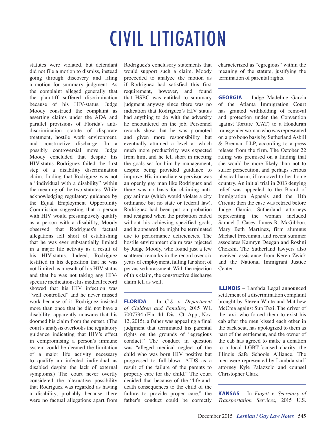statutes were violated, but defendant did not file a motion to dismiss, instead going through discovery and filing a motion for summary judgment. As the complaint alleged generally that the plaintiff suffered discrimination because of his HIV-status, Judge Moody construed the complaint as asserting claims under the ADA and parallel provisions of Florida's antidiscrimination statute of disparate treatment, hostile work environment, and constructive discharge. In a possibly controversial move, Judge Moody concluded that despite his HIV-status Rodriguez failed the first step of a disability discrimination claim, finding that Rodriguez was not a "individual with a disability" within the meaning of the two statutes. While acknowledging regulatory guidance by the Equal Employment Opportunity Commission suggesting that a person with HIV would presumptively qualify as a person with a disability, Moody observed that Rodriguez's factual allegations fell short of establishing that he was ever substantially limited in a major life activity as a result of his HIV-status. Indeed, Rodriguez testified in his deposition that he was not limited as a result of his HIV-status and that he was not taking any HIVspecific medications; his medical record showed that his HIV infection was "well controlled" and he never missed work because of it. Rodriguez insisted more than once that he did not have a disability, apparently unaware that his doomed his claim from the outset. (The court's analysis overlooks the regulatory guidance indicating that HIV's effect in compromising a person's immune system could be deemed the limitation of a major life activity necessary to qualify an infected individual as disabled despite the lack of external symptoms.) The court never overtly considered the alternative possibility that Rodriguez was regarded as having a disability, probably because there were no factual allegations apart from

Rodriguez's conclusory statements that would support such a claim. Moody proceeded to analyze the motion as if Rodriguez had satisfied this first requirement, however, and found that HSBC was entitled to summary judgment anyway since there was no indication that Rodriguez's HIV status had anything to do with the adversity he encountered on the job. Personnel records show that he was promoted and given more responsibility but eventually attained a level at which much more productivity was expected from him, and he fell short in meeting the goals set for him by management, despite being provided guidance to improve. His immediate supervisor was an openly gay man like Rodriguez and there was no basis for claiming antigay animus (which would violate a city ordinance but no state or federal law). Rodriguez had been put on probation and resigned when the probation ended without his achieving specified goals, and it appeared he might be terminated due to performance deficiencies. The hostile environment claim was rejected by Judge Moody, who found just a few scattered remarks in the record over six years of employment, falling far short of pervasive harassment. With the rejection of this claim, the constructive discharge claim fell as well.

**FLORIDA** – In *C.S. v. Department of Children and Families*, 2015 WL 7007794 (Fla. 4th Dist. Ct. App., Nov. 12, 2015), a father was appealing a final judgment that terminated his parental rights on the grounds of "egregious conduct." The conduct in question was "alleged medical neglect of the child who was born HIV positive but progressed to full-blown AIDS as a result of the failure of the parents to properly care for the child." The court decided that because of the "life-anddeath consequences to the child of the failure to provide proper care," the father's conduct could be correctly

characterized as "egregious" within the meaning of the statute, justifying the termination of parental rights.

**GEORGIA** – Judge Madeline Garcia of the Atlanta Immigration Court has granted withholding of removal and protection under the Convention against Torture (CAT) to a Honduran transgender woman who was represented on a pro bono basis by Sutherland Asbill & Brennan LLP, according to a press release from the firm. The October 22 ruling was premised on a finding that she would be more likely than not to suffer persecution, and perhaps serious physical harm, if removed to her home country. An initial trial in 2013 denying relief was appealed to the Board of Immigration Appeals and the 11th Circuit; then the case was retried before Judge Garcia. Sutherland attorneys representing the woman included Samuel J. Casey, James R. McGibbon, Mary Beth Martinez, firm alumnus Michael Freedman, and recent summer associates Kamryn Deegan and Roshni Chokshi. The Sutherland lawyers also received assistance from Keren Zwick and the National Immigrant Justice Center.

**ILLINOIS** – Lambda Legal announced settlement of a discrimination complaint brought by Steven White and Matthew McCrea against Sun Taxi. The driver of the taxi, who forced them to exist his cab after the men kissed each other in the back seat, has apologized to them as part of the settlement, and the owner of the cab has agreed to make a donation to a local LGBT-focused charity, the Illinois Safe Schools Alliance. The men were represented by Lambda staff attorney Kyle Palazzolo and counsel Christopher Clark.

**KANSAS** – In *Fugett v. Secretary of Transportation Services*, 2015 U.S.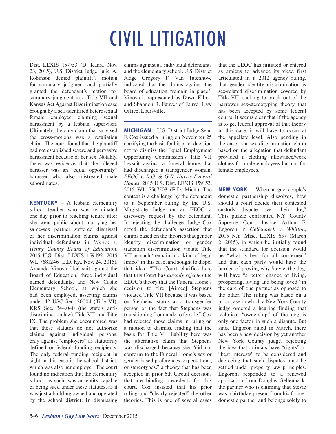Dist. LEXIS 157753 (D. Kans., Nov. 23, 2015), U.S. District Judge Julie A. Robinson denied plaintiff's motion for summary judgment and partially granted the defendant's motion for summary judgment in a Title VII and Kansas Act Against Discrimination case brought by a self-identified heterosexual female employee claiming sexual harassment by a lesbian supervisor. Ultimately, the only claim that survived the cross-motions was a retaliation claim. The court found that the plaintiff had not established severe and pervasive harassment because of her sex. Notably, there was evidence that the alleged harasser was an "equal opportunity" harasser who also mistreated male subordinates.

**KENTUCKY** – A lesbian elementary school teacher who was terminated one day prior to reaching tenure after she went public about marrying her same-sex partner suffered dismissal of her discrimination claims against individual defendants in *Vinova v. Henry County Board of Education*, 2015 U.S. Dist. LEXIS 159492, 2015 WL 7681246 (E.D. Ky., Nov. 24, 2015). Amanda Vinova filed suit against the Board of Education, three individual named defendants, and New Castle Elementary School, at which she had been employed, asserting claims under 42 USC Sec. 2000d (Title VI), KRS Sec. 344.040 (the state's antidiscrimination law), Title VII, and Title IX. The problem she encountered was that these statutes do not authorize claims against individual persons, only against "employers" as statutorily defined or federal funding recipients. The only federal funding recipient in sight in this case is the school district, which was also her employer. The court found no indication that the elementary school, as such, was an entity capable of being sued under these statutes, as it was just a building owned and operated by the school district. In dismissing

claims against all individual defendants and the elementary school, U.S. District Judge Gregory F. Van Tatenhove indicated that the claims against the board of education "remain in place." Vinova is represented by Dawn Elliott and Shannon R. Fauver of Fauver Law Office, Louisville.

**MICHIGAN** – U.S. District Judge Sean F. Cox issued a ruling on November 25 clarifying the basis for his prior decision not to dismiss the Equal Employment Opportunity Commission's Title VII lawsuit against a funeral home that had discharged a transgender woman. *EEOC v. R.G. & G.R. Harris Funeral Homes*, 2015 U.S. Dist. LEXIS 159153, 2015 WL 7567503 (E.D. Mich.). The context is a challenge by the defendant to a September ruling by the U.S. Magistrate Judge on an EEOC a discovery request by the defendant. In rejecting the challenge, Judge Cox noted the defendant's assertion that claims based on the theories that gender identity discrimination or gender transition discrimination violate Title VII as such "remain in a kind of legal limbo" in this case, and sought to dispel that idea. "The Court clarifies here that this Court has *already rejected* the EEOC's theory that the Funeral Home's decision to fire [Aimee] Stephens violated Title VII because it was based on Stephens' status as a transgender person or the fact that Stephens was transitioning from male to female." Cox had rejected those claims in ruling on a motion to dismiss, finding that the basis for Title VII liability here was the alternative claim that Stephens was discharged because she "did not conform to the Funeral Home's sex or gender-based preferences, expectations, or stereotypes," a theory that has been accepted in prior 6th Circuit decisions that are binding precedents for this court. Cox insisted that his prior ruling had "clearly rejected" the other theories. This is one of several cases that the EEOC has initiated or entered as amicus to advance its view, first articulated in a 2012 agency ruling, that gender identity discrimination is sex-related discrimination covered by Title VII, seeking to break out of the narrower sex-stereotyping theory that has been accepted by some federal courts. It seems clear that if the agency is to get federal approval of that theory in this case, it will have to occur at the appellate level. Also pending in the case is a sex discrimination claim based on the allegation that defendant provided a clothing allowance/work clothes for male employees but not for female employees.

**NEW YORK** – When a gay couple's domestic partnership dissolves, how should a court decide their contested custody dispute over their dog? This puzzle confronted N.Y. County Supreme Court Justice Arthur F. Engoron in *Gellenbeck v. Whitton*, 2015 N.Y. Misc. LEXIS 637 (March 2, 2015), in which he initially found that the standard for decision would be "what is best for all concerned" and that each party would have the burden of proving why Stevie, the dog, will have "a better chance of living, prospering, loving and being loved" in the care of one partner as opposed to the other. The ruling was based on a prior case in which a New York County judge ordered a hearing finding that technical "ownership" of the dog is only one factor in such a dispute. But since Engoron ruled in March, there has been a new decision by yet another New York County judge, rejecting the idea that animals have "rights" or "best interests" to be considered and decreeing that such disputes must be settled under property law principles. Engoron, responded to a renewed application from Douglas Gellenback, the partner who is claiming that Stevie was a birthday present from his former domestic partner and belongs solely to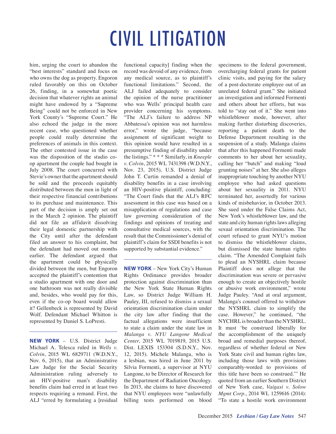him, urging the court to abandon the "best interests" standard and focus on who owns the dog as property. Engoron ruled favorably on this on October 26, finding, in a somewhat poetic decision that whatever rights an animal might have endowed by a "Supreme Being" could not be enforced in New York County's "Supreme Court." He also echoed the judge in the more recent case, who questioned whether people could really determine the preferences of animals in this context. The other contested issue in the case was the disposition of the studio coop apartment the couple had bought in July 2008. The court concurred with Stevie's owner that the apartment should be sold and the proceeds equitably distributed between the men in light of their respective financial contributions to its purchase and maintenance. This part of the decision is amply set out in the March 2 opinion. The plaintiff did not file an affidavit dissolving their legal domestic partnership with the City until after the defendant filed an answer to his complaint, but the defendant had moved out months earlier. The defendant argued that the apartment could be physically divided between the men, but Engoron accepted the plaintiff's contention that a studio apartment with one door and one bathroom was not really divisible and, besides, who would pay for this, even if the co-op board would allow it? Gellenbeck is represented by David Wolf. Defendant Michael Whitton is represented by Daniel S. LoPresti.

**NEW YORK** – U.S. District Judge Michael A. Telesca ruled in *Wells v. Colvin*, 2015 WL 6829711 (W.D.N.Y., Nov. 6, 2015), that an Administrative Law Judge for the Social Security Administration ruling adversely to an HIV-positive man's disability benefits claim had erred in at least two respects requiring a remand. First, the ALJ "erred by formulating a [residual

functional capacity] finding when the record was devoid of any evidence, from any medical source, as to plaintiff's functional limitations." Second, the ALJ failed adequately to consider the opinion of the nurse practitioner who was Wells' principal health care provider concerning his symptoms. "The ALJ's failure to address NP Abbatessa's opinion was not harmless error," wrote the judge, "because assignment of significant weight to this opinion would have resulted in a presumptive finding of disability under the listings." \* \* \* Similarly, in *Kneeple v. Colvin*, 2015 WL 7431398 (W.D.N.Y., Nov. 23, 2015), U.S. District Judge John T. Curtin remanded a denial of disability benefits in a case involving an HIV-positive plaintiff, concluding: "The Court finds that the ALJ's RFC assessment in this case was based on a misapplication of regulations and case law governing consideration of the findings and opinions of treating and consultative medical sources, with the result that the Commissioner's denial of plaintiff's claim for SSDI benefits is not supported by substantial evidence."

**NEW YORK** – New York City's Human Rights Ordinance provides broader protection against discrimination than the New York State Human Rights Law, so District Judge William H. Pauley, III, refused to dismiss a sexual orientation discrimination claim under the city law after finding that the factual allegations were insufficient to state a claim under the state law in *Malanga v. NYU Langone Medical Center*, 2015 WL 7019819, 2015 U.S. Dist. LEXIS 153304 (S.D.N.Y., Nov. 12, 2015). Michele Malanga, who is a lesbian, was hired in June 2011 by Silvia Formenti, a supervisor at NYU Langone, to be Director of Research for the Department of Radiation Oncology. In 2013, she claims to have discovered that NYU employees were "unlawfully billing tests performed on blood

specimens to the federal government, overcharging federal grants for patient clinic visits, and paying for the salary of a post-doctorate employee out of an unrelated federal grant." She initiated an investigation and informed Formenti and others about her efforts, but was told to "stay out of it." She went into whistleblower mode, however, after making further disturbing discoveries, reporting a patient death to the Defense Department resulting in the suspension of a study. Malanga claims that after this happened Formenti made comments to her about her sexuality, calling her "butch" and making "loud grunting noises" at her. She also alleges inappropriate touching by another NYU employee who had asked questions about her sexuality in 2011. NYU terminated her, assertedly for various kinds of misbehavior, in October 2013. She sued under the False Claims Act, New York's whistleblower law, and the state and city human rights laws alleging sexual orientation discrimination. The court refused to grant NYU's motion to dismiss the whistleblower claims, but dismissed the state human rights claim. "The Amended Complaint fails to plead an NYSHRL claim because Plaintiff does not allege that the discrimination was severe or pervasive enough to create an objectively hostile or abusive work environment," wrote Judge Pauley. "And at oral argument, Malanga's counsel offered to withdraw the NYSHRL claim to simplify the case. However," he continued, "the NYCHRL is broader than the NYSHRL. It must 'be construed liberally for the accomplishment of the uniquely broad and remedial purposes thereof, regardless of whether federal or New York State civil and human rights law, including those laws with provisions comparably-worded to provisions of this title have been so construed.'" He quoted from an earlier Southern District of New York case, *Vaigasi v. Solow Mgmt Corp.*, 2014 WL 1259616 (2014): "To state a hostile work environment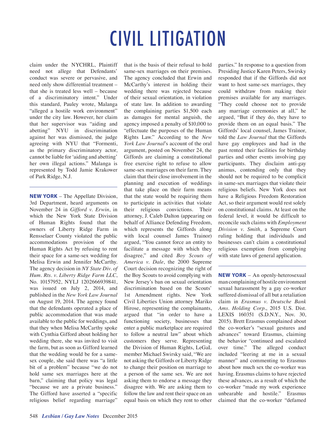claim under the NYCHRL, Plaintiff need not allege that Defendants' conduct was severe or pervasive, and need only show differential treatment – that she is treated less well – because of a discriminatory intent." Under this standard, Pauley wrote, Malanga "alleged a hostile work environment" under the city law. However, her claim that her supervisor was "aiding and abetting" NYU in discrimination against her was dismissed, the judge agreeing with NYU that "Formenti, as the primary discriminatory actor, cannot be liable for 'aiding and abetting' her own illegal actions." Malanga is represented by Todd Jamie Krakower of Park Ridge, N.J.

**NEW YORK** – The Appellate Division, 3rd Department, heard arguments on November 24 in *Gifford v. Erwin*, in which the New York State Division of Human Rights found that the owners of Liberty Ridge Farm in Rensselaer County violated the public accommodations provision of the Human Rights Act by refusing to rent their space for a same-sex wedding for Melisa Erwin and Jennifer McCarthy. The agency decision in *NY State Div. of Hum. Rts. v. Liberty Ridge Farm LLC*, No. 10157952, NYLJ 1202666939841, was issued on July 2, 2014, and published in the *New York Law Journal*  on August 19, 2014. The agency found that the defendants operated a place of public accommodation that was made available to the public for weddings, and that they when Melisa McCarthy spoke with Cynthia Gifford about holding her wedding there, she was invited to visit the farm, but as soon as Gifford learned that the wedding would be for a samesex couple, she said there was "a little bit of a problem" because "we do not hold same sex marriages here at the barn," claiming that policy was legal "because we are a private business." The Gifford have asserted a "specific religious belief regarding marriage"

that is the basis of their refusal to hold same-sex marriages on their premises. The agency concluded that Erwin and McCarthy's interest in holding their wedding there was rejected because of their sexual orientation, in violation of state law. In addition to awarding the complaining parties \$1,500 each as damages for mental anguish, the agency imposed a penalty of \$10,000 to "effectuate the purposes of the Human Rights Law." According to the *New York Law Journal*'s account of the oral argument, posted on November 24, the Giffords are claiming a constitutional free exercise right to refuse to allow same-sex marriages on their farm. They claim that their close involvement in the planning and execution of weddings that take place on their farm means that the state would be requiring them to participate in activities that violate their religious convictions. Their attorney, J. Caleb Dalton (appearing on behalf of Alliance Defending Freedom, which represents the Giffords along with local counsel James Trainor) argued, "You cannot force an entity to facilitate a message with which they disagree," and cited *Boy Scouts of America v. Dale*, the 2000 Supreme Court decision recognizing the right of the Boy Scouts to avoid complying with New Jersey's ban on sexual orientation discrimination based on the Scouts' 1st Amendment rights. New York Civil Liberties Union attorney Mariko Hirose, representing the complainants, argued that "in order to have a functioning society, businesses that enter a public marketplace are required to follow a neutral law" about which customers they serve. Representing the Division of Human Rights, LeGaL member Michael Swirsky said, "We are not asking the Giffords or Liberty Ridge to change their position on marriage to a person of the same sex. We are not asking them to endorse a message they disagree with. We are asking them to follow the law and rent their space on an equal basis on which they rent to other parties." In response to a question from Presiding Justice Karen Peters, Swirsky responded that if the Giffords did not want to host same-sex marriages, they could withdraw from making their premises available for any marriages. "They could choose not to provide any marriage ceremonies at all," he argued, "But if they do, they have to provide them on an equal basis." The Giffords' local counsel, James Trainor, told the *Law Journal* that the Giffords have gay employees and had in the past rented their facilities for birthday parties and other events involving gay participants. They disclaim anti-gay animus, contending only that they should not be required to be complicit in same-sex marriages that violate their religious beliefs. New York does not have a Religious Freedom Restoration Act, so their argument would rest solely on constitutional claims. At least on the federal level, it would be difficult to reconcile such claims with *Employment Division v. Smith*, a Supreme Court ruling holding that individuals and businesses can't claim a constitutional religious exemption from complying with state laws of general application.

**NEW YORK** – An openly-heterosexual man complaining of hostile environment sexual harassment by a gay co-worker suffered dismissal of all but a retaliation claim in *Erasmus v. Deutsche Bank Ams. Holding Corp.*, 2015 U.S. Dist. LEXIS 160351 (S.D.N.Y., Nov. 30, 2015). Brett Erasmus complained about the co-worker's "sexual gestures and advances" toward Erasmus, claiming the behavior "continued and escalated over time." The alleged conduct included "leering at me in a sexual manner" and commenting to Erasmus about how much sex the co-worker was having. Erasmus claims to have rejected these advances, as a result of which the co-worker "made my work experience unbearable and hostile." Erasmus claimed that the co-worker "defamed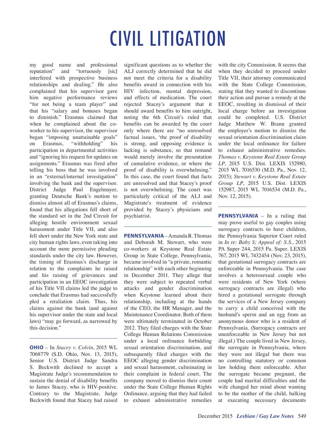my good name and professional reputation" and "tortuously [sic] interfered with prospective business relationships and dealing." He also complained that his supervisor gave him negative performance reviews "for not being a team player" and that his "salary and bonuses began to diminish." Erasmus claimed that when he complained about the coworker to his supervisor, the supervisor began "imposing unattainable goals" on Erasmus, "withholding" his participation in departmental activities and "ignoring his request for updates on assignments." Erasmus was fired after telling his boss that he was involved in an "external/internal investigation" involving the bank and the supervisor. District Judge Paul Engelmayer, granting Deutsche Bank's motion to dismiss almost all of Erasmus's claims, found that his allegations fell short of the standard set in the 2nd Circuit for alleging hostile environment sexual harassment under Title VII, and also fell short under the New York state and city human rights laws, even taking into account the more permissive pleading standards under the city law. However, the timing of Erasmus's discharge in relation to the complaints he raised and his raising of grievances and participation in an EEOC investigation of his Title VII claims led the judge to conclude that Erasmus had successfully pled a retaliation claim. Thus, his claims against the bank (and against his supervisor under the state and local laws) "may go forward, as narrowed by this decision."

**OHIO** – In *Stacey v. Colvin*, 2015 WL 7068779 (S.D. Ohio, Nov. 13, 2015), Senior U.S. District Judge Sandra S. Beckwith declined to accept a Magistrate Judge's recommendation to sustain the denial of disability benefits to James Stacey, who is HIV-positive. Contrary to the Magistrate, Judge Beckwith found that Stacey had raised

significant questions as to whether the ALJ correctly determined that he did not meet the criteria for a disability benefits award in connection with his HIV infection, mental depression, and effects of medication. The court rejected Stacey's argument that it should award benefits to him outright, noting the 6th Circuit's ruled that benefits can be awarded by the court only where there are "no unresolved factual issues, 'the proof of disability is strong, and opposing evidence is lacking is substance, so that remand would merely involve the presentation of cumulative evidence, or where the proof of disability is overwhelming." In this case, the court found that facts are unresolved and that Stacey's proof is not overwhelming. The court was particularly critical of the ALJ and Magistrate's treatment of evidence provided by Stacey's physicians and psychiatrist.

**PENNSYLVANIA** – Amanda R. Thomas and Deborah M. Stewart, who were co-workers at Keystone Real Estate Group in State College, Pennsylvania, became involved in "a private, romantic relationship" with each other beginning in December 2011. They allege that they were subject to repeated verbal attacks and gender discrimination when Keystone learned about their relationship, including at the hands of the CEO, the HR Manager, and the Maintenance Coordinator. Both of them were ultimately terminated in October 2012. They filed charges with the State College Human Relations Commission under a local ordinance forbidding sexual orientation discrimination, and subsequently filed charges with the EEOC alleging gender discrimination and sexual harassment, culminating in their complaint in federal court. The company moved to dismiss their count under the State College Human Rights Ordinance, arguing that they had failed to exhaust administrative remedies with the city Commission. It seems that when they decided to proceed under Title VII, their attorney communicated with the State College Commission, stating that they wanted to discontinue their action and pursue a remedy at the EEOC, resulting in dismissal of their local charge before an investigation could be completed. U.S. District Judge Matthew W. Brann granted the employer's motion to dismiss the sexual orientation discrimination claim under the local ordinance for failure to exhaust administrative remedies. *Thomas v. Keystone Real Estate Group LP*, 2015 U.S. Dist. LEXIS 152980, 2015 WL 7016530 (M.D. Pa., Nov. 12, 2015); *Stewart v. Keystone Real Estate Group LP*, 2015 U.S. Dist. LEXIS 152987, 2015 WL 7016534 (M.D. Pa., Nov. 12, 2015).

**PENNSYLVANIA** – In a ruling that may prove useful to gay couples using surrogacy contracts to have children, the Pennsylvania Superior Court ruled in *In re: Baby S; Appeal of: S.S.*, 2015 PA Super 244, 2015 Pa. Super. LEXIS 767, 2015 WL 7432454 (Nov. 23, 2015), that gestational surrogacy contracts are enforceable in Pennsylvania. The case involves a heterosexual couple who were residents of New York (where surrogacy contracts are illegal) who hired a gestational surrogate through the services of a New Jersey company to carry a child conceived with the husband's sperm and an egg from an anonymous donor who is a resident of Pennsylvania. (Surrogacy contracts are unenforceable in New Jersey but not illegal.) The couple lived in New Jersey, the surrogate in Pennsylvania, where they were not illegal but there was no controlling statutory or common law holding them enforceable. After the surrogate became pregnant, the couple had marital difficulties and the wife changed her mind about wanting to be the mother of the child, balking at executing necessary documents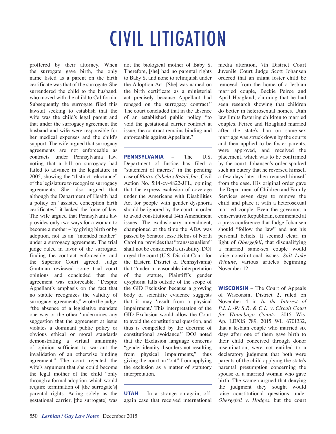proffered by their attorney. When the surrogate gave birth, the only name listed as a parent on the birth certificate was that of the surrogate. She surrendered the child to the husband, who moved with the child to California. Subsequently the surrogate filed this lawsuit seeking to establish that the wife was the child's legal parent and that under the surrogacy agreement the husband and wife were responsible for her medical expenses and the child's support. The wife argued that surrogacy agreements are not enforceable as contracts under Pennsylvania law, noting that a bill on surrogacy had failed to advance in the legislature in 2005, showing the "distinct reluctance" of the legislature to recognize surrogacy agreements. She also argued that although the Department of Health had a policy on "assisted conception birth certificates," it lacked the force of law. The wife argued that Pennsylvania law provides only two ways for a woman to become a mother – by giving birth or by adoption, not as an "intended mother" under a surrogacy agreement. The trial judge ruled in favor of the surrogate, finding the contract enforceable, and the Superior Court agreed. Judge Gantman reviewed some trial court opinions and concluded that the agreement was enforceable. "Despite Appellant's emphasis on the fact that no statute recognizes the validity of surrogacy agreements," wrote the judge, "the absence of a legislative mandate one way or the other 'undermines any suggestion that the agreement at issue violates a dominant public policy or obvious ethical or moral standards demonstrating a virtual unanimity of opinion sufficient to warrant the invalidation of an otherwise binding agreement." The court rejected the wife's argument that she could become the legal mother of the child "only through a formal adoption, which would require termination of [the surrogate's] parental rights. Acting solely as the gestational carrier, [the surrogate] was

not the biological mother of Baby S. Therefore, [she] had no parental rights to Baby S. and none to relinquish under the Adoption Act. [She] was named on the birth certificate as a ministerial act precisely because Appellant had reneged on the surrogacy contract." The court concluded that in the absence of an established public policy "to void the gestational carrier contract at issue, the contract remains binding and enforceable against Appellant."

**PENNSYLVANIA** – The U.S. Department of Justice has filed a "statement of interest" in the pending case of *Blatt v. Cabela's Retail, Inc.*, Civil Action No. 5:14-cv-4822-JFL, opining that the express exclusion of coverage under the Americans with Disabilities Act for people with gender dysphoria should be ignored by the court in order to avoid constitutional 14th Amendment issues. The exclusionary amendment, championed at the time the ADA was passed by Senator Jesse Helms of North Carolina, provides that "transsexualism" shall not be considered a disability. DOJ urged the court (U.S. District Court for the Eastern District of Pennsylvania) that "under a reasonable interpretation of the statute, Plaintiff's gender dysphoria falls outside of the scope of the GID Exclusion because a growing body of scientific evidence suggests that it may 'result from a physical impairment.' This interpretation of the GID Exclusion would allow the Court to avoid the constitutional question, and thus is compelled by the doctrine of constitutional avoidance." DOJ noted that the Exclusion language concerns "gender identity disorders not resulting from physical impairments," thus giving the court an "out" from applying the exclusion as a matter of statutory interpretation.

**UTAH** – In a strange on-again, offagain case that received international media attention, 7th District Court Juvenile Court Judge Scott Johansen ordered that an infant foster child be removed from the home of a lesbian married couple, Beckie Peirce and April Hoagland, claiming that he had seen research showing that children do better in heterosexual homes. Utah law limits fostering children to married couples. Peirce and Hoagland married after the state's ban on same-sex marriage was struck down by the courts and then applied to be foster parents, were approved, and received the placement, which was to be confirmed by the court. Johansen's order sparked such an outcry that he reversed himself a few days later, then recused himself from the case. His original order gave the Department of Children and Family Services seven days to remove the child and place it with a heterosexual married couple. Even the governor, a conservative Republican, commented at a press conference that Judge Johansen should "follow the law" and not his personal beliefs. It seemed clear, in light of *Obergefell*, that disqualifying a married same-sex couple would raise constitutional issues. *Salt Lake Tribune*, various articles beginning November 12.

**WISCONSIN** – The Court of Appeals of Wisconsin, District 2, ruled on November 4 in *In the Interest of P.L.L.-R: S.R. & C.L. v. Circuit Court for Winnebago County*, 2015 Wis. Ap. LEXIS 789, 2015 WL 6701332, that a lesbian couple who married six days after one of them gave birth to their child conceived through donor insemination, were not entitled to a declaratory judgment that both were parents of the child applying the state's parental presumption concerning the spouse of a married woman who gave birth. The women argued that denying the judgment they sought would raise constitutional questions under *Obergefell v. Hodges*, but the court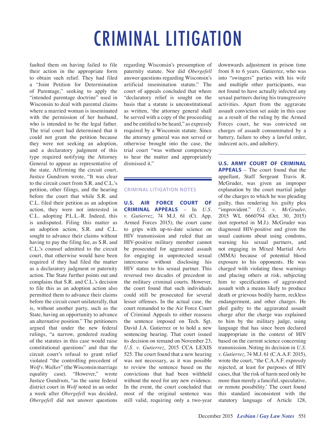### CRIMINAL LITIGATION

faulted them on having failed to file their action in the appropriate form to obtain such relief. They had filed a "Joint Petition for Determination of Parentage," seeking to apply the "intended parentage doctrine" used in Wisconsin to deal with parental claims where a married woman is inseminated with the permission of her husband, who is intended to be the legal father. The trial court had determined that it could not grant the petition because they were not seeking an adoption, and a declaratory judgment of this type required notifying the Attorney General to appear as representative of the state. Affirming the circuit court, Justice Gundrum wrote, "It was clear to the circuit court from S.R. and C.L.'s petition, other filings, and the hearing before the court that while S.R. and C.L. filed their petition as an adoption action, they were not interested in C.L. adopting P.L.L.-R. Indeed, this is undisputed. Filing this matter as an adoption action, S.R. and C.L. sought to advance their claims without having to pay the filing fee, as S.R. and C.L.'s counsel admitted to the circuit court, that otherwise would have been required if they had filed the matter as a declaratory judgment or paternity action. The State further points out and complains that S.R. and C.L.'s decision to file this as an adoption action also permitted them to advance their claims before the circuit court unilaterally, that is, without another party, such as the State, having an opportunity to advance an alternative position." The petitioners argued that under the new federal rulings, "a narrow, gendered reading of the statutes in this case would raise constitutional questions" and that the circuit court's refusal to grant relief violated "the controlling precedent of *Wolf v. Walker*" (the Wisconsin marriage equality case). "However," wrote Justice Gundrum, "as the same federal district court in *Wolf* noted in an order a week after *Obergefell* was decided, *Obergefell* did not answer questions

regarding Wisconsin's presumption of paternity statute. Nor did *Obergefell* answer questions regarding Wisconsin's artificial insemination statute." The court of appeals concluded that where "declaratory relief is sought on the basis that a statute is unconstitutional as written, 'the attorney general shall be served with a copy of the proceeding and be entitled to be heard," as expressly required by a Wisconsin statute. Since the attorney general was not served or otherwise brought into the case, the trial court "was without competency to hear the matter and appropriately dismissed it."

#### CRIMINAL LITIGATION NOTES

**U.S. AIR FORCE COURT OF CRIMINAL APPEALS** – In *U.S. v. Gutierrez*, 74 M.J. 61 (Ct. App. Armed Forces 2015), the court came to grips with up-to-date science on HIV transmission and ruled that an HIV-positive military member cannot be prosecuted for aggravated assault for engaging in unprotected sexual intercourse without disclosing his HIV status to his sexual partner. This reversed two decades of precedent in the military criminal courts. However, the court found that such individuals could still be prosecuted for several lesser offenses. In the actual case, the court remanded to the Air Force Court of Criminal Appeals to either reassess the sentence imposed on Tech. Sgt. David J.A. Gutierrez or to hold a new sentencing hearing. That court issued its decision on remand on November 23, *U.S. v. Gutierrez*, 2015 CCA LEXIS 525. The court found that a new hearing was not necessary, as it was possible to review the sentence based on the convictions that had been withheld without the need for any new evidence. In the event, the court concluded that most of the original sentence was still valid, requiring only a two-year downwards adjustment in prison time from 8 to 6 years. Gutierrez, who was into "swingers" parties with his wife and multiple other participants, was not found to have actually infected any sexual partners during his transgressive activities. Apart from the aggravate assault conviction set aside in this case as a result of the ruling by the Armed Forces court, he was convicted on charges of assault consummated by a battery, failure to obey a lawful order, indecent acts, and adultery.

**U.S. ARMY COURT OF CRIMINAL APPEALS** – The court found that the appellant, Staff Sergeant Travis R. McGruder, was given an improper explanation by the court martial judge of the charges to which he was pleading guilty, thus rendering his guilty plea "improvident." *U.S. v. McGruder*, 2015 WL 6660794 (Oct. 30, 2015) (not reported in M.J.). McGruder was diagnosed HIV-positive and given the usual cautions about using condoms, warning his sexual partners, and not engaging in Mixed Martial Arts (MMA) because of potential blood exposure to his opponents. He was charged with violating these warnings and placing others at risk, subjecting him to specifications of aggravated assault with a means likely to produce death or grievous bodily harm, reckless endangerment, and other charges. He pled guilty to the aggravated assault charge after the charge was explained to him by the military judge, using language that has since been declared inappropriate in the context of HIV based on the current science concerning transmission. Noting its decision in *U.S. v. Gutierrez*, 74 M.J. 61 (C.A.A.F. 2015), wrote the court, "the C.A.A.F. expressly rejected, at least for purposes of HIV cases, that 'the risk of harm need only be more than merely a fanciful, speculative, or remote possibility.' The court found this standard inconsistent with the statutory language of Article 128,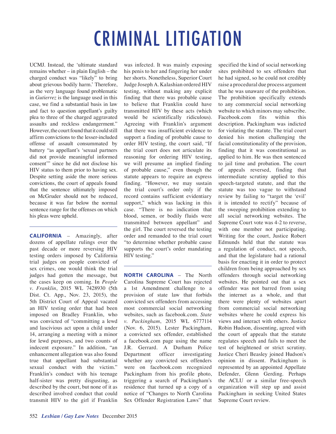# CRIMINAL LITIGATION

UCMJ. Instead, the 'ultimate standard remains whether – in plain English – the charged conduct was "likely" to bring about grievous bodily harm.' Therefore, as the very language found problematic in *Gutierrez* is the language used in this case, we find a substantial basis in law and fact to question appellant's guilty plea to three of the charged aggravated assaults and reckless endangerment." However, the court found that it could still affirm convictions to the lesser-included offense of assault consummated by battery "as appellant's 'sexual partners did not provide meaningful informed consent'" since he did not disclose his HIV status to them prior to having sex. Despite setting aside the more serious convictions, the court of appeals found that the sentence ultimately imposed on McGruder should not be reduced, because it was far below the normal sentence range for the offenses on which his pleas were upheld.

**CALIFORNIA** – Amazingly, after dozens of appellate rulings over the past decade or more reversing HIV testing orders imposed by California trial judges on people convicted of sex crimes, one would think the trial judges had gotten the message, but the cases keep on coming. In *People v. Franklin*, 2015 WL 7428930 (5th Dist. Ct. App., Nov. 23, 2015), the 5th District Court of Appeal vacated an HIV testing order that had been imposed on Bradley Franklin, who was convicted of "committing a lewd and lascivious act upon a child under 14, arranging a meeting with a minor for lewd purposes, and two counts of indecent exposure." In addition, "an enhancement allegation was also found true that appellant had substantial sexual conduct with the victim." Franklin's conduct with his teenage half-sister was pretty disgusting, as described by the court, but none of it as described involved conduct that could transmit HIV to the girl if Franklin

was infected. It was mainly exposing his penis to her and fingering her under her shorts. Nonetheless, Superior Court Judge Joseph A. Kalashian ordered HIV testing, without making any explicit finding that there was probable cause to believe that Franklin could have transmitted HIV by these acts (which would be scientifically ridiculous). Agreeing with Franklin's argument that there was insufficient evidence to support a finding of probable cause to order HIV testing, the court said, "If the trial court does not articulate its reasoning for ordering HIV testing, we will presume an implied finding of probable cause," even though the statute appears to require an express finding. "However, we may sustain the trial court's order only if the record contains sufficient evidentiary support," which was lacking in this case. "There is no indication that blood, semen, or bodily fluids were transmitted between appellant" and the girl. The court reversed the testing order and remanded to the trial court "to determine whether probable cause supports the court's order mandating HIV testing."

**NORTH CAROLINA** – The North Carolina Supreme Court has rejected a 1st Amendment challenge to a provision of state law that forbids convicted sex offenders from accessing most commercial social networking websites, such as facebook.com. *State v. Packingham*, 2015 WL 6777114 (Nov. 6, 2015). Lester Packingham, a convicted sex offender, established a facebook.com page using the name J.R. Gerrard. A Durham Police Department officer investigating whether any convicted sex offenders were on facebook.com recognized Packingham from his profile photo, triggering a search of Packingham's residence that turned up a copy of a notice of "Changes to North Carolina Sex Offender Registration Laws" that specified the kind of social networking sites prohibited to sex offenders that he had signed, so he could not credibly raise a procedural due process argument that he was unaware of the prohibition. The prohibition specifically extends to any commercial social networking website to which minors may subscribe. Facebook.com fits within this description. Packingham was indicted for violating the statute. The trial court denied his motion challenging the facial constitutionality of the provision, finding that it was constitutional as applied to him. He was then sentenced to jail time and probation. The court of appeals reversed, finding that intermediate scrutiny applied to this speech-targeted statute, and that the statute was too vague to withstand review by failing to "target the 'evil' it is intended to rectify" because of the sweeping prohibition extending to all social networking websites. The Supreme Court vote was 4-2 to reverse, with one member not participating. Writing for the court, Justice Robert Edmunds held that the statute was a regulation of conduct, not speech, and that the legislature had a rational basis for enacting it in order to protect children from being approached by sex offenders through social networking websites. He pointed out that a sex offender was not barred from using the internet as a whole, and that there were plenty of websites apart from commercial social networking websites where he could express his views and interact with others. Justice Robin Hudson, dissenting, agreed with the court of appeals that the statute regulates speech and fails to meet the test of heightened or strict scrutiny. Justice Cheri Beasley joined Hudson's opinion in dissent. Packingham is represented by an appointed Appellate Defender, Glenn Gerding. Perhaps the ACLU or a similar free-speech organization will step up and assist Packingham in seeking United States Supreme Court review.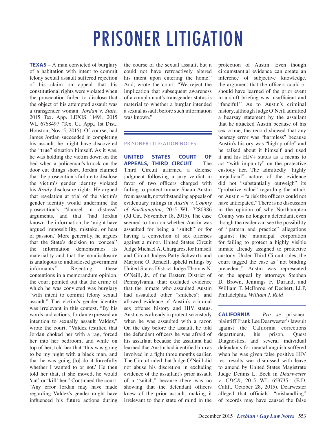**TEXAS** – A man convicted of burglary of a habitation with intent to commit felony sexual assault suffered rejection of his claim on appeal that his constitutional rights were violated when the prosecution failed to disclose that the object of his attempted assault was a transgender woman. *Jordan v. State*, 2015 Tex. App. LEXIS 11491, 2015 WL 6768497 (Tex. Ct. App., 1st Dist., Houston, Nov. 5, 2015). Of course, had James Jordan succeeded in completing his assault, he might have discovered the "true" situation himself. As it was, he was holding the victim down on the bed when a policeman's knock on the door cut things short. Jordan claimed that the prosecution's failure to disclose the victim's gender identity violated his *Brady* disclosure rights. He argued that revelation at trial of the victim's gender identity would undermine the prosecution's "damsel in distress" arguments, and that "had Jordan known the information, he 'might have argued impossibility, mistake, or heat of passion.' More generally, he argues that the State's decision to 'conceal' the information demonstrates its materiality and that the nondisclosure is analogous to undisclosed government informants." Rejecting these contentions in a memorandum opinion, the court pointed out that the crime of which he was convicted was burglary "with intent to commit felony sexual assault." The victim's gender identity was irrelevant in this context. "By his words and actions, Jordan expressed an intention to sexually assault Valdez," wrote the court. "Valdez testified that Jordan choked her with a rag, forced her into her bedroom, and while on top of her, told her that 'this was going to be my night with a black man, and that he was going [to] do it forcefully whether I wanted to or not.' He then told her that, if she moved, he would 'cut' or 'kill' her." Continued the court, "Any error Jordan may have made regarding Valdez's gender might have influenced his future actions during

the course of the sexual assault, but it could not have retroactively altered his intent upon entering the home." And, wrote the court, "We reject the implication that subsequent awareness of a complainant's transgender status is material to whether a burglar intended a sexual assault before such information was known."

#### PRISONER LITIGATION NOTES

**UNITED STATES COURT OF APPEALS, THIRD CIRCUIT** – The Third Circuit affirmed a defense judgment following a jury verdict in favor of two officers charged with failing to protect inmate Shaun Austin from assault, notwithstanding appeals of evidentiary rulings in *Austin v. County of Northampton*, 2015 WL 7280986 (3d Cir., November 18, 2015). The case seemed to turn on whether Austin was assaulted for being a "snitch" or for having a conviction of sex offenses against a minor. United States Circuit Judge Michael A. Chargares, for himself and Circuit Judges Patty Schwartz and Marjorie O. Rendell, upheld rulings by United States District Judge Thomas N. O'Neill, Jr., of the Eastern District of Pennsylvania, that: excluded evidence that the inmate who assaulted Austin had assaulted other "snitches"; and allowed evidence of Austin's criminal sex offense history and HIV status. Austin was already in protective custody when he was assaulted with a razor. On the day before the assault, he told the defendant officers he was afraid of his assailant because the assailant had learned that Austin had identified him as involved in a fight three months earlier. The Circuit ruled that Judge O'Neill did not abuse his discretion in excluding evidence of the assailant's prior assault of a "snitch," because there was no showing that the defendant officers knew of the prior assault, making it irrelevant to their state of mind in the protection of Austin. Even though circumstantial evidence can create an inference of subjective knowledge, the argument that the officers could or should have learned of the prior event in a shift briefing was insufficient and "fanciful." As to Austin's criminal history, although Judge O'Neill admitted a hearsay statement by the assailant that he attacked Austin because of his sex crime, the record showed that any hearsay error was "harmless" because Austin's history was "high profile" and he talked about it himself and used it and his HIV+ status as a means to act "with impunity" on the protective custody tier. The admittedly "highly prejudicial" nature of the evidence did not "substantially outweigh" its "probative value" regarding the attack on Austin – "a risk the officers could not have anticipated." There is no discussion in the opinion of why Northampton County was no longer a defendant, even though the reader can see the possibility of "pattern and practice" allegations against the municipal corporation for failing to protect a highly visible inmate already assigned to protective custody. Under Third Circuit rules, the court tagged the case as "not binding precedent." Austin was represented on the appeal by attorneys Stephen D. Brown, Jennings F. Durand, and William T. McEnroe, of Dechert, LLP, Philadelphia. *William J. Rold*

**CALIFORNIA** – *Pro se* prisonerplaintiff Frank Lee Dearwester's lawsuit against the California corrections department, his prison, Quest Diagnostics, and several individual defendants for mental anguish suffered when he was given false positive HIV test results was dismissed with leave to amend by United States Magistrate Judge Dennis L. Beck in *Dearwester v. CDCR*, 2015 WL 6537351 (E.D. Calif., October 28, 2015). Dearwester alleged that officials' "mishandling" of records may have caused the false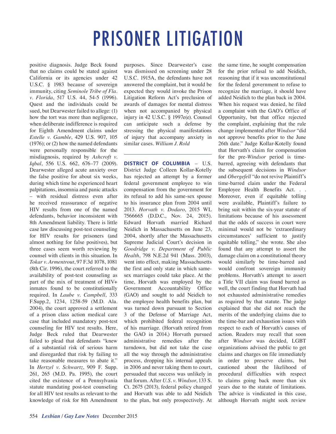positive diagnosis. Judge Beck found that no claims could be stated against California or its agencies under 42 U.S.C. § 1983 because of sovereign immunity, citing *Seminole Tribe of Fla. v. Florida*, 517 U.S. 44, 54-5 (1996). Quest and the individuals could be sued, but Dearwester failed to allege: (1) how the tort was more than negligence, when deliberate indifference is required for Eighth Amendment claims under *Estelle v. Gamble*, 429 U.S. 907, 105 (1976); or (2) how the named defendants were personally responsible for the misdiagnosis, required by *Ashcroft v. Iqbal*, 556 U.S. 662, 676–77 (2009). Dearwester alleged acute anxiety over the false positive for about six weeks, during which time he experienced heart palpitations, insomnia and panic attacks – with residual distress even after he received reassurance of negative HIV results from one of the named defendants, behavior inconsistent with 8th Amendment liability. There is little case law discussing post-test counseling for HIV results for prisoners (and almost nothing for false positives), but three cases seem worth reviewing by counsel with clients in this situation. In *Tokar v. Armentrout*, 97 F.3d 1078, 1081 (8th Cir. 1996), the court referred to the availability of post-test counseling as part of the mix of treatment of HIV+ inmates found to be constitutionally required. In *Laube v. Campbell*, 333 F.Supp.2, 1234, 1258-59 (M.D. Ala. 2004), the court approved a settlement of a prison class action medical care case that included mandatory post-test counseling for HIV test results. Here, Judge Beck ruled that Dearwester failed to plead that defendants "knew of a substantial risk of serious harm and disregarded that risk by failing to take reasonable measures to abate it." In *Hertzel v. Schwartz*, 909 F. Supp. 261, 265 (M.D. Pa. 1995), the court cited the existence of a Pennsylvania statute mandating post-test counseling for all HIV test results as relevant to the knowledge of risk for 8th Amendment

purposes. Since Dearwester's case was dismissed on screening under 28 U.S.C. 1915A, the defendants have not answered the complaint, but it would be expected they would invoke the Prison Litigation Reform Act's preclusion of awards of damages for mental distress when not accompanied by physical injury in 42 U.S.C. § 1997e(e). Counsel can anticipate such a defense by stressing the physical manifestations of injury that accompany anxiety in similar cases. *William J. Rold*

**DISTRICT OF COLUMBIA** – U.S. District Judge Colleen Kollar-Kotelly has rejected an attempt by a former federal government employee to win compensation from the government for its refusal to add his same-sex spouse to his insurance plan from 2004 until 2013. *Horvath v. Dodaro*, 2015 WL 7566665 (D.D.C., Nov. 24, 2015). Edward Horvath married Richard Neidich in Massachusetts on June 23, 2004, shortly after the Massachusetts Supreme Judicial Court's decision in *Goodridge v. Department of Public Health*, 798 N.E.2d 941 (Mass. 2003), went into effect, making Massachusetts the first and only state in which samesex marriages could take place. At the time, Horvath was employed by the Government Accountability Office (GAO) and sought to add Neidich to the employee health benefits plan, but was turned down pursuant to Section 3 of the Defense of Marriage Act, which prohibited federal recognition of his marriage. (Horvath retired from the GAO in 2014.) Horvath pursued administrative remedies after the turndown, but did not take the case all the way through the administrative process, dropping his internal appeals in 2006 and never taking them to court, persuaded that success was unlikely in that forum. After *U.S. v. Windsor*, 133 S. Ct. 2675 (2013), federal policy changed and Horvath was able to add Neidich to the plan, but only prospectively. At the same time, he sought compensation for the prior refusal to add Neidich, reasoning that if it was unconstitutional for the federal government to refuse to recognize the marriage, it should have added Neidich to the plan back in 2004. When his request was denied, he filed a complaint with the GAO's Office of Opportunity, but that office rejected the complaint, explaining that the rule change implemented after *Windsor* "did not approve benefits prior to the June 26th date." Judge Kollar-Kotelly found that Horvath's claim for compensation for the pre-*Windsor* period is timebarred, agreeing with defendants that the subsequent decisions in *Windsor* and *Obergefell* "do not revive Plaintiff's time-barred claim under the Federal Employee Health Benefits Act. . . Moreover, even if equitable tolling were available, Plaintiff's failure to bring suit within the six-year statute of limitations because of his assessment that the odds of success in court were minimal would not be 'extraordinary circumstances' sufficient to justify equitable tolling," she wrote. She also found that any attempt to assert the damage claim on a constitutional theory would similarly be time-barred and would confront sovereign immunity problems. Horvath's attempt to assert a Title VII claim was found barred as well, the court finding that Horvath had not exhausted administrative remedies as required by that statute. The judge explained that she did not reach the merits of the underlying claims due to the time-bar and exhaustion issues with respect to each of Horvath's causes of action. Readers may recall that soon after *Windsor* was decided, LGBT organizations advised the public to get claims and charges on file immediately in order to preserve claims, but cautioned about the likelihood of procedural difficulties with respect to claims going back more than six years due to the statute of limitations. The advice is vindicated in this case, although Horvath might seek review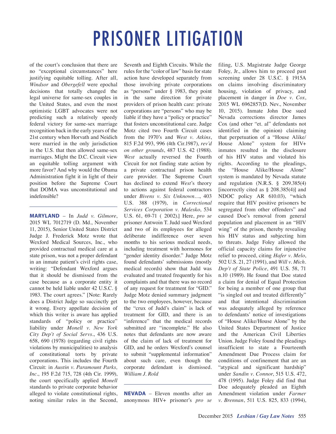of the court's conclusion that there are no "exceptional circumstances" here justifying equitable tolling. After all, *Windsor* and *Obergefell* were epochal decisions that totally changed the legal universe for same-sex couples in the United States, and even the most optimistic LGBT advocates were not predicting such a relatively speedy federal victory for same-sex marriage recognition back in the early years of the 21st century when Horvath and Neidich were married in the only jurisdiction in the U.S. that then allowed same-sex marriages. Might the D.C. Circuit view an equitable tolling argument with more favor? And why would the Obama Administration fight it in light of their position before the Supreme Court that DOMA was unconstitutional and indefensible?

**MARYLAND** – In *Judd v. Gilmore*, 2015 WL 7012719 (D. Md., November 11, 2015), Senior United States District Judge J. Frederick Motz wrote that Wexford Medical Sources, Inc., who provided contractual medical care at a state prison, was not a proper defendant in an inmate patient's civil rights case, writing: "Defendant Wexford argues that it should be dismissed from the case because as a corporate entity it cannot be held liable under 42 U.S.C. § 1983. The court agrees." [Note: Rarely does a District Judge so succinctly get it wrong. Every appellate decision of which this writer is aware has applied standards of "policy or practice" liability under *Monell v. New York City Dep't of Social Servs.*, 436 U.S. 658, 690 (1978) (regarding civil rights violations by municipalities) to analysis of constitutional torts by private corporations. This includes the Fourth Circuit: in *Austin v. Paramount Parks, Inc.*, 195 F.2d 715, 728 (4th Cir. 1999), the court specifically applied *Monell* standards to private corporate behavior alleged to violate constitutional rights, noting similar rules in the Second,

Seventh and Eighth Circuits. While the rules for the "color of law" basis for state action have developed separately from those involving private corporations as "persons" under § 1983, they point in the same direction for private providers of prison health care: private corporations are "persons" who may be liable if they have a "policy or practice" that fosters unconstitutional care. Judge Motz cited two Fourth Circuit cases from the 1970's and *West v. Atkins*, 815 F.2d 993, 996 (4th Cir.1987), *rev'd on other grounds*, 487 U.S. 42 (1988). *West* actually reversed the Fourth Circuit for not finding state action by a private contractual prison health care provider. The Supreme Court has declined to extend *West*'s theory to actions against federal contractors under *Bivens v. Six Unknown…*, 403 U.S. 388 (1979), in *Correctional Services Corporation v. Malesko*, 534 U.S. 61, 69-71 ( 2002).] Here, *pro se* prisoner Antwoin T. Judd sued Wexford and two of its employees for alleged deliberate indifference over seven months to his serious medical needs, including treatment with hormones for "gender identity disorder." Judge Motz found defendants' submissions (mostly medical records) show that Judd was evaluated and treated frequently for his complaints and that there was no record of any request for treatment for "GID." Judge Motz denied summary judgment to the two employees, however, because the "crux of Judd's claim" is lack of treatment for GID, and there is an "inference" that the medical records submitted are "incomplete." He also notes that defendants are now aware of the claim of lack of treatment for GID, and he orders Wexford's counsel to submit "supplemental information" about such care, even though the corporate defendant is dismissed. *William J. Rold*

**NEVADA** – Eleven months after an anonymous HIV+ prisoner's *pro se* filing, U.S. Magistrate Judge George Foley, Jr., allows him to proceed past screening under 28 U.S.C. § 1915A on claims involving discriminatory housing, violation of privacy, and placement in danger in *Doe v. Cox*, 2015 WL 6962857(D. Nev., November 10, 2015). Inmate John Doe sued Nevada corrections director James Cox (and other "et. al" defendants not identified in the opinion) claiming that perpetuation of a "House Alike/ House Alone" system for HIV+ inmates resulted in the disclosure of his HIV status and violated his rights. According to the pleadings, the "House Alike/House Alone" system is mandated by Nevada statute and regulation (N.R.S. § 209.385(4) [incorrectly cited as § 208.385(4)] and NDOC policy AR 610.03), "which require that HIV positive prisoners be segregated from other offenders" and caused Doe's removal from general population and placement in an "HIV wing" of the prison, thereby revealing his HIV status and subjecting him to threats. Judge Foley allowed the official capacity claims for injunctive relief to proceed, citing *Hafer v. Melo*, 502 U.S. 21, 27 (1991), and *Will v. Mich. Dep't of State Police*, 491 U.S. 58, 71 n.10 (1989). He found that Doe stated a claim for denial of Equal Protection for being a member of one group that "is singled out and treated differently" and that intentional discrimination was adequately alleged by reference to defendants' notice of investigations of "House Alike/House Alone" by the United States Department of Justice and the American Civil Liberties Union. Judge Foley found the pleadings insufficient to state a Fourteenth Amendment Due Process claim for conditions of confinement that are an "atypical and significant hardship" under *Sandin v. Connor*, 515 U.S. 472, 478 (1995). Judge Foley did find that Doe adequately pleaded an Eighth Amendment violation under *Farmer v. Brennan*, 511 U.S. 825, 833 (1994),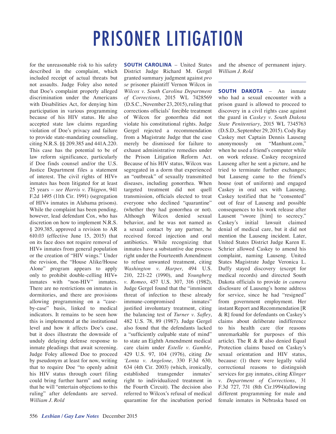for the unreasonable risk to his safety described in the complaint, which included receipt of actual threats but not assaults. Judge Foley also noted that Doe's complaint properly alleged discrimination under the Americans with Disabilities Act, for denying him participation in various programming because of his HIV status. He also accepted state law claims regarding violation of Doe's privacy and failure to provide state-mandating counseling, citing N.R.S. §§ 209.385 and 441A.220. This case has the potential to be of law reform significance, particularly if Doe finds counsel and/or the U.S. Justice Department files a statement of interest. The civil rights of HIV+ inmates has been litigated for at least 25 years – *see Harris v. Thigpen*, 941 F.2d 1495 (11th Cir. 1991) (segregation of HIV+ inmates in Alabama prisons). While the complaint has been pending, however, lead defendant Cox, who has discretion on how to implement N.R.S. § 209.385, approved a revision to AR 610.03 (effective June 15, 2015) that on its face does not require removal of HIV+ inmates from general population or the creation of "HIV wings." Under the revision, the "House Alike/House Alone" program appears to apply only to prohibit double-celling HIV+ inmates with "non-HIV" inmates. There are no restrictions on inmates in dormitories, and there are provisions allowing programming on a "caseby-case" basis, linked to medical indicators. It remains to be seen how this is implemented at the institutional level and how it affects Doe's case, but it does illustrate the downside of unduly delaying defense response to inmate pleadings that await screening. Judge Foley allowed Doe to proceed by pseudonym at least for now, writing that to require Doe "to openly admit his HIV status through court filing could bring further harm" and noting that he will "entertain objections to this ruling" after defendants are served. *William J. Rold*

**SOUTH CAROLINA** – United States District Judge Richard M. Gergel granted summary judgment against *pro se* prisoner plaintiff Vernon Wilcox in *Wilcox v. South Carolina Department of Corrections*, 2015 WL 7428569 (D.S.C., November 23, 2015), ruling that corrections officials' forcible treatment of Wilcox for gonorrhea did not violate his constitutional rights. Judge Gergel rejected a recommendation from a Magistrate Judge that the case merely be dismissed for failure to exhaust administrative remedies under the Prison Litigation Reform Act. Because of his HIV status, Wilcox was segregated in a dorm that experienced an "outbreak" of sexually transmitted diseases, including gonorrhea. When targeted treatment did not quell transmission, officials elected to treat everyone who declined "quarantine" (whether they had gonorrhea or not). Although Wilcox denied sexual behavior, and he was not named as a sexual contact by any partner, he received forced injection and oral antibiotics. While recognizing that inmates have a substantive due process right under the Fourteenth Amendment to refuse unwanted treatment, citing *Washington v. Harper*, 494 U.S. 210, 221-22 (1990), and *Youngberg v. Romeo*, 457 U.S. 307, 316 (1982), Judge Gergel found that the "imminent threat of infection to these already immune-compromised inmates" justified involuntary treatment, citing the balancing test of *Turner v. Safley*, 482 U.S. 78, 89 (1987). Judge Gergel also found that the defendants lacked a "sufficiently culpable state of mind" to state an Eighth Amendment medical care claim under *Estelle v. Gamble*, 429 U.S. 97, 104 (1976), citing *De 'Lonta v. Angelone*, 330 F.3d 630, 634 (4th Cir. 2003) (which, ironically, established transgender inmates' right to individualized treatment in the Fourth Circuit). The decision also referred to Wilcox's refusal of medical quarantine for the incubation period and the absence of permanent injury. *William J. Rold*

**SOUTH DAKOTA** – An inmate who had a sexual encounter with a prison guard is allowed to proceed to discovery in a civil rights case against the guard in *Caskey v. South Dakota State Penitentiary*, 2015 WL 7345763 (D.S.D., September 29, 2015). Cody Ray Caskey met Captain Dennis Lauseng anonymously on "Manhunt.com," when he used a friend's computer while on work release. Caskey recognized Lauseng after he sent a picture, and he tried to terminate further exchanges; but Lauseng came to the friend's house (out of uniform) and engaged Caskey in oral sex with Lauseng. Caskey testified that he "consented" out of fear of Lauseng and possible consequences to his work release after Lausent "swore [him] to secrecy." Caskey's initial lawsuit claimed denial of medical care, but it did not mention the Lauseng incident. Later, United States District Judge Karen E. Schrier allowed Caskey to amend his complaint, naming Lauseng. United States Magistrate Judge Veronica L. Duffy stayed discovery (except for medical records) and directed South Dakota officials to provide *in camera* disclosure of Lauseng's home address for service, since he had "resigned" from government employment. Her instant Report and Recommendation [R & R] found for defendants on Caskey's claims about deliberate indifference to his health care (for reasons unremarkable for purposes of this article). The R & R also denied Equal Protection claims based on Caskey's sexual orientation and HIV status, because: (1) there were legally valid correctional reasons to distinguish services for gay inmates, citing *Klinger v. Department of Corrections*, 31 F.3d 727, 731 (8th Cir.1994)(allowing different programming for male and female inmates in Nebraska based on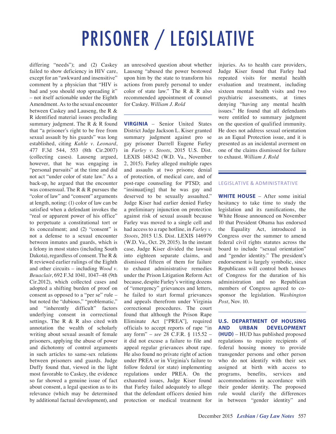# PRISONER / LEGISLATIVE

differing "needs"); and (2) Caskey failed to show deficiency in HIV care, except for an "awkward and insensitive" comment by a physician that "HIV is bad and you should stop spreading it" – not itself actionable under the Eighth Amendment. As to the sexual encounter between Caskey and Lauseng, the R & R identified material issues precluding summary judgment. The R & R found that "a prisoner's right to be free from sexual assault by his guards" was long established, citing *Kahle v. Leonard*, 477 F.3d 544, 553 (8th Cir.2007) (collecting cases). Lauseng argued, however, that he was engaging in "personal pursuits" at the time and did not act "under color of state law." As a back-up, he argued that the encounter was consensual. The R & R pursues the "color of law" and "consent" arguments at length, noting: (1) color of law can be satisfied when a defendant invokes the "real or apparent power of his office" to perpetuate a constitutional tort or its concealment; and (2) "consent" is not a defense to a sexual encounter between inmates and guards, which is a felony in most states (including South Dakota), regardless of consent. The R & R reviewed earlier rulings of the Eighth and other circuits – including *Wood v. Beuaclair*, 692 F.3d 1041, 1047–48 (9th Cir.2012), which collected cases and adopted a shifting burden of proof on consent as opposed to a "per se" rule – but noted the "dubious," "problematic," and "inherently difficult" factors underlying consent in correctional settings. The R & R also cited with annotation the wealth of scholarly writing about sexual assault of female prisoners, applying the abuse of power and dichotomy of control arguments in such articles to same-sex relations between prisoners and guards. Judge Duffy found that, viewed in the light most favorable to Caskey, the evidence so far showed a genuine issue of fact about consent, a legal question as to its relevance (which may be determined by additional factual development), and

an unresolved question about whether Lauseng "abused the power bestowed upon him by the state to transform his actions from purely personal to under color of state law." The R & R also recommended appointment of counsel for Caskey. *William J. Rold*

**VIRGINIA** – Senior United States District Judge Jackson L. Kiser granted summary judgment against pro se gay prisoner Darrell Eugene Farley in *Farley v. Stoots*, 2015 U.S. Dist. LEXIS 148342 (W.D. Va., November 2, 2015). Farley alleged multiple rapes and assaults at two prisons; denial of protection, of medical care, and of post-rape counseling for PTSD; and "insinuat[ing] that he was gay and deserved to be sexually assaulted." Judge Kiser had earlier denied Farley a preliminary injunction on protection against risk of sexual assault because Farley was moved to a single cell and had access to a rape hotline, in *Farley v. Stoots*, 2015 U.S. Dist. LEXIS 146979 (W.D. Va., Oct. 29, 2015). In the instant case, Judge Kiser divided the lawsuit into eighteen separate claims, and dismissed fifteen of them for failure to exhaust administrative remedies under the Prison Litigation Reform Act because, despite Farley's writing dozens of "emergency" grievances and letters, he failed to start formal grievances and appeals therefrom under Virginia correctional procedures. The court found that although the Prison Rape Eliminate Act ["PREA"], required officials to accept reports of rape "in any form" – *see* 28 C.F.R. § 115.52 – it did not excuse a failure to file and appeal regular grievances about rape. He also found no private right of action under PREA or in Virginia's failure to follow federal (or state) implementing regulations under PREA. On the exhausted issues, Judge Kiser found that Farley failed adequately to allege that the defendant officers denied him protection or medical treatment for injuries. As to health care providers, Judge Kiser found that Farley had repeated visits for mental health evaluation and treatment, including sixteen mental health visits and two psychiatric assessments, at times denying "having any mental health issues." He found that all defendants were entitled to summary judgment on the question of qualified immunity. He does not address sexual orientation as an Equal Protection issue, and it is presented as an incidental averment on one of the claims dismissed for failure to exhaust. *William J. Rold*

#### LEGISLATIVE & ADMINISTRATIVE

**WHITE HOUSE** – After some initial hesitancy to take time to study the legislation and its ramifications, the White House announced on November 10 that President Obama has endorsed the Equality Act, introduced in Congress over the summer to amend federal civil rights statutes across the board to include "sexual orientation" and "gender identity." The president's endorsement is largely symbolic, since Republicans will control both houses of Congress for the duration of his administration and no Republican members of Congress agreed to cosponsor the legislation. *Washington Post*, Nov. 10.

**U.S. DEPARTMENT OF HOUSING AND URBAN DEVELOPMENT (HUD)** – HUD has published proposed regulations to require recipients of federal housing money to provide transgender persons and other person who do not identify with their sex assigned at birth with access to programs, benefits, services and accommodations in accordance with their gender identity. The proposed rule would clarify the differences in between "gender identity" and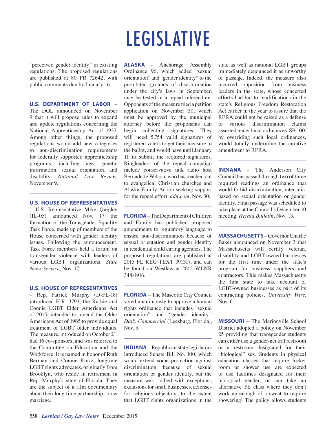### LEGISLATIVE

"perceived gender identity" in existing regulations. The proposed regulations are published at 80 FR 72642, with public comments due by January 16.

#### **U.S. DEPARTMENT OF LABOR** –

The DOL announced on November 9 that it will propose rules to expand and update regulations concerning the National Apprenticeship Act of 1937. Among other things, the proposed regulations would add new categories to non-discrimination requirements for federally supported apprenticeship programs, including age, genetic information, sexual orientation, and disability. *National Law Review*, November 9.

#### **U.S. HOUSE OF REPRESENTATIVES**

– U.S. Representative Mike Quigley (IL-05) announced Nov. 17 the formation of the Transgender Equality Task Force, made up of members of the House concerned with gender identity issues. Following the announcement, Task Force members held a forum on transgender violence with leaders of various LGBT organizations. *State News Service*, Nov. 17.

#### **U.S. HOUSE OF REPRESENTATIVES**

– Rep. Patrick Murphy (D-FL-18) introduced H.R. 3793, the Ruthie and Connie LGBT Elder Americans Act of 2015, intended to amend the Older Americans Act of 1965 to provide equal treatment of LGBT older individuals. The measure, introduced on October 21, had 16 co-sponsors, and was referred to the Committee on Education and the Workforce. It is named in honor of Ruth Berman and Connie Kurtz, longtime LGBT rights advocates, originally from Brooklyn, who reside in retirement in Rep. Murphy's state of Florida. They are the subject of a film documentary about their long-time partnership – now marriage.

**ALASKA** – Anchorage Assembly Ordinance 96, which added "sexual orientation" and "gender identity" to the prohibited grounds of discrimination under the city's laws in September, may be tested in a repeal referendum. Opponents of the measure filed a petition application on November 30, which must be approved by the municipal attorney before the proponents can begin collecting signatures. They will need 5,754 valid signatures of registered voters to get their measure to the ballot, and would have until January 11 to submit the required signatures. Ringleaders of the repeal campaign include conservative talk radio host Bernadette Wilson, who has reached out to evangelical Christian churches and Alaska Family Action seeking support for the repeal effort. *adn.com*, Nov. 30.

**FLORIDA** – The Department of Children and Family has published proposed amendments to regulatory language to ensure non-discrimination because of sexual orientation and gender identity in residential child caring agencies. The proposed regulations are published at 2015 FL REG TEXT 391317, and can be found on Westlaw at 2015 WLNR 348-1916.

**FLORIDA** – The Mascotte City Council voted unanimously to approve a human rights ordinance that includes "sexual orientation" and "gender identity." *Daily Commercial* (Leesburg, Florida), Nov. 5.

**INDIANA** – Republican state legislators introduced Senate Bill No. 100, which would extend some protection against discrimination because of sexual orientation or gender identity, but the measure was riddled with exceptions, exclusions for small businesses, defenses for religious objectors, to the extent that LGBT rights organizations in the state as well as national LGBT groups immediately denounced it as unworthy of passage. Indeed, the measure also incurred opposition from business leaders in the state, whose concerted efforts had led to modifications in the state's Religious Freedom Restoration Act earlier in the year to assure that the RFRA could not be raised as a defense to various discrimination claims asserted under local ordinances. SB 100, by overriding such local ordinances, would totally undermine the curative amendment to RFRA.

**INDIANA** – The Anderson City Council has passed through two of three required readings an ordinance that would forbid discrimination, inter alia, based on sexual orientation or gender identity. Final passage was scheduled to take place at the Council's December 10 meeting. *Herald Bulletin*, Nov. 13.

**MASSACHUSETTS** – Governor Charlie Baker announced on November 3 that Massachusetts will certify veteran, disability and LGBT-owned businesses for the first time under the state's program for business suppliers and contractors. This makes Massachusetts the first state to take account of LGBT-owned businesses as part of its contracting policies. *University Wire*, Nov. 6.

**MISSOURI** – The Marionville School District adopted a policy on November 25 providing that transgender students can either use a gender-neutral restroom or a restroom designated for their "biological" sex. Students in physical education classes that require locker room or shower use are expected to use facilities designated for their biological gender, or can take an alternative PE class where they don't work up enough of a sweat to require showering! The policy allows students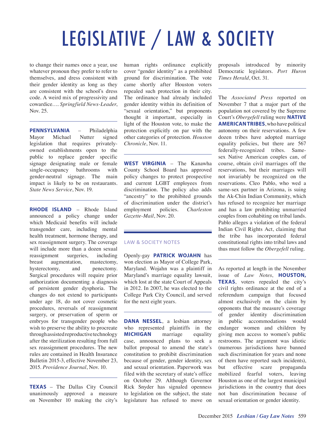# LEGISLATIVE / LAW & SOCIETY

to change their names once a year, use whatever pronoun they prefer to refer to themselves, and dress consistent with their gender identity as long as they are consistent with the school's dress code. A weird mix of progressivity and cowardice…. *Springfield News-Leader*, Nov. 25.

**PENNSYLVANIA** – Philadelphia Mayor Michael Nutter signed legislation that requires privatelyowned establishments open to the public to replace gender specific signage designating male or female single-occupancy bathrooms with gender-neutral signage. The main impact is likely to be on restaurants. *State News Service*, Nov. 19.

**RHODE ISLAND** – Rhode Island announced a policy change under which Medicaid benefits will include transgender care, including mental health treatment, hormone therapy, and sex reassignment surgery. The coverage will include more than a dozen sexual reassignment surgeries, including breast augmentation, mastectomy, hysterectomy, and penectomy. Surgical procedures will require prior authorization documenting a diagnosis of persistent gender dysphoria. The changes do not extend to participants under age 18, do not cover cosmetic procedures, reversals of reassignment surgery, or preservation of sperm or embryos for transgender people who wish to preserve the ability to procreate through assisted reproductive technology after the sterilization resulting from full sex reassignment procedures. The new rules are contained in Health Insurance Bulletin 2015-3, effective November 23, 2015. *Providence Journal*, Nov. 10.

**TEXAS** – The Dallas City Council unanimously approved a measure on November 10 making the city's

human rights ordinance explicitly cover "gender identity" as a prohibited ground for discrimination. The vote came shortly after Houston voters repealed such protection in their city. The ordinance had already included gender identity within its definition of "sexual orientation," but proponents thought it important, especially in light of the Houston vote, to make the protection explicitly on par with the other categories of protection. *Houston Chronicle*, Nov. 11.

**WEST VIRGINIA** – The Kanawha County School Board has approved policy changes to protect prospective and current LGBT employees from discrimination. The policy also adds "ancestry" to the prohibited grounds of discrimination under the district's employment policies. *Charleston Gazette-Mail*, Nov. 20.

#### LAW & SOCIETY NOTES

Openly-gay **PATRICK WOJAHN** has won election as Mayor of College Park, Maryland. Wojahn was a plaintiff in Maryland's marriage equality lawsuit, which lost at the state Court of Appeals in 2012. In 2007, he was elected to the College Park City Council, and served for the next eight years.

**DANA NESSEL**, a lesbian attorney who represented plaintiffs in the **MICHIGAN** marriage equality case, announced plans to seek a ballot proposal to amend the state's constitution to prohibit discrimination because of gender, gender identity, sex and sexual orientation. Paperwork was filed with the secretary of state's office on October 29. Although Governor Rick Snyder has signaled openness to legislation on the subject, the state legislature has refused to move on proposals introduced by minority Democratic legislators. *Port Huron Times Herald*, Oct. 31.

The *Associated Press* reported on November 7 that a major part of the population not covered by the Supreme Court's *Obergefell* ruling were **NATIVE AMERICAN TRIBES**, who have political autonomy on their reservations. A few dozen tribes have adopted marriage equality policies, but there are 567 federally-recognized tribes. Samesex Native American couples can, of course, obtain civil marriages off the reservations, but their marriages will not invariably be recognized on the reservations. Cleo Pablo, who wed a same-sex partner in Arizona, is suing the Ak-Chin Indian Community, which has refused to recognize her marriage and has a law prohibiting unmarried couples from cohabiting on tribal lands. Pablo alleges a violation of the federal Indian Civil Rights Act, claiming that the tribe has incorporated federal constitutional rights into tribal laws and thus must follow the *Obergefell* ruling.

As reported at length in the November issue of *Law Notes*, **HOUSTON, TEXAS**, voters repealed the city's civil rights ordinance at the end of a referendum campaign that focused almost exclusively on the claim by opponents that the measure's coverage of gender identity discrimination in public accommodations would endanger women and children by giving men access to women's public restrooms. The argument was idiotic (numerous jurisdictions have banned such discrimination for years and none of them have reported such incidents), but effective scare propaganda mobilized fearful voters, leaving Houston as one of the largest municipal jurisdictions in the country that does not ban discrimination because of sexual orientation or gender identity.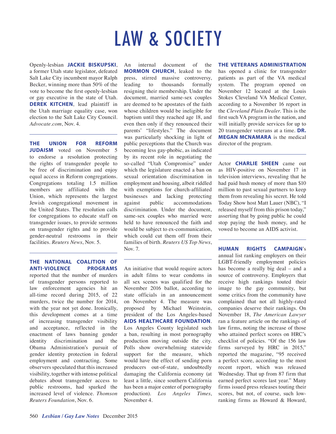### LAW & SOCIETY

Openly-lesbian **JACKIE BISKUPSKI**, a former Utah state legislator, defeated Salt Lake City incumbent mayor Ralph Becker, winning more than 50% of the vote to become the first openly-lesbian or gay executive in the state of Utah. **DEREK KITCHEN**, lead plaintiff in the Utah marriage equality case, won election to the Salt Lake City Council. *Advocate.com*, Nov. 4.

**THE UNION FOR REFORM JUDAISM** voted on November 5 to endorse a resolution protecting the rights of transgender people to be free of discrimination and enjoy equal access in Reform congregations. Congregations totaling 1.5 million members are affiliated with the Union, which represents the largest Jewish congregational movement in the United States. The resolution calls for congregations to educate staff on transgender issues, to provide sermons on transgender rights and to provide gender-neutral restrooms in their facilities. *Reuters News*, Nov. 5.

#### **THE NATIONAL COALITION OF ANTI-VIOLENCE PROGRAMS**

reported that the number of murders of transgender persons reported to law enforcement agencies hit an all-time record during 2015, of 22 murders, twice the number for 2014, with the year not yet done. Ironically, this development comes at a time of increasing transgender visibility and acceptance, reflected in the enactment of laws banning gender identity discrimination and the Obama Administration's pursuit of gender identity protection in federal employment and contracting. Some observers speculated that this increased visibility, together with intense political debates about transgender access to public restrooms, had sparked the increased level of violence. *Thomson Reuters Foundation*, Nov. 6.

An internal document of the **MORMON CHURCH**, leaked to the press, stirred massive controversy, leading to thousands formally resigning their membership. Under the document, married same-sex couples are deemed to be apostates of the faith whose children would be ineligible for baptism until they reached age 18, and even then only if they renounced their parents' "lifestyles." The document was particularly shocking in light of public perceptions that the Church was becoming less gay-phobic, as indicated by its recent role in negotiating the so-called "Utah Compromise" under which the legislature enacted a ban on sexual orientation discrimination in employment and housing, albeit riddled with exemptions for church-affiliated businesses and lacking protecting against public accommodations discrimination. Under the document, same-sex couples who married were held to have renounced the faith and would be subject to ex-communication, which could cut them off from their families of birth. *Reuters US Top News*, Nov. 7.

An initiative that would require actors in adult films to wear condoms in all sex scenes was qualified for the November 2016 ballot, according to state officials in an announcement on November 4. The measure was proposed by Michael Weinstein, president of the Los Angeles-based **AIDS HEALTHCARE FOUNDATION**. Los Angeles County legislated such a ban, resulting in most pornography production moving outside the city. Polls show overwhelming statewide support for the measure, which would have the effect of sending porn producers out-of-state, undoubtedly damaging the California economy (at least a little, since southern California has been a major center of pornography production). *Los Angeles Times*, November 4.

#### **THE VETERANS ADMINISTRATION**

has opened a clinic for transgender patients as part of the VA medical system. The program opened on November 12 located at the Louis Stokes Cleveland VA Medical Center, according to a November 16 report in the *Cleveland Plain Dealer*. This is the first such VA program in the nation, and will initially provide services for up to 20 transgender veterans at a time. **DR. MEGAN MCNAMARA** is the medical director of the program.

Actor **CHARLIE SHEEN** came out as HIV-positive on November 17 in television interviews, revealing that he had paid hush money of more than \$10 million to past sexual partners to keep them from revealing his secret. He told Today Show host Matt Lauer (NBC), "I released myself from this prison today," asserting that by going public he could stop paying the hush money, and he vowed to become an AIDS activist.

**HUMAN RIGHTS CAMPAIGN**'s annual list ranking employers on their LGBT-friendly employment policies has become a really big deal – and a source of controversy. Employers that receive high rankings touted their image to the gay community, but some critics from the community have complained that not all highly-rated companies deserve their rankings. On November 18, *The American Lawyer* ran a feature article on the rankings of law firms, noting the increase of those who attained perfect scores on HRC's checklist of policies. "Of the 156 law firms surveyed by HRC in 2015," reported the magazine, "95 received a perfect score, according to the most recent report, which was released Wednesday. That up from 87 firm that earned perfect scores last year." Many firms issued press releases touting their scores, but not, of course, such lowranking firms as Howard & Howard,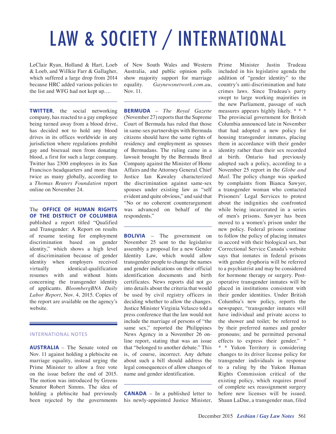# LAW & SOCIETY / INTERNATIONAL

LeClair Ryan, Holland & Hart, Loeb & Loeb, and Willkie Farr & Gallagher, which suffered a large drop from 2014 because HRC added various policies to the list and WFG had not kept up….

**TWITTER**, the social networking company, has reacted to a gay employee being turned away from a blood drive, has decided not to hold any blood drives in its offices worldwide in any jurisdiction where regulations prohibit gay and bisexual men from donating blood, a first for such a large company. Twitter has 2300 employees in its San Francisco headquarters and more than twice as many globally, according to a *Thomas Reuters Foundation* report online on November 24.

The **OFFICE OF HUMAN RIGHTS OF THE DISTRICT OF COLUMBIA** published a report titled "Qualified and Transgender: A Report on results of resume testing for employment discrimination based on gender identity," which shows a high level of discrimination because of gender identity when employers received virtually identical-qualification resumes with and without hints concerning the transgender identity of applicants. *BloombergBNA Daily Labor Report*, Nov. 4, 2015. Copies of the report are available on the agency's website.

#### INTERNATIONAL NOTES

**AUSTRALIA** – The Senate voted on Nov. 11 against holding a plebiscite on marriage equality, instead urging the Prime Minister to allow a free vote on the issue before the end of 2015. The motion was introduced by Greens Senator Robert Simms. The idea of holding a plebiscite had previously been rejected by the governments

of New South Wales and Western Australia, and public opinion polls show majority support for marriage equality. *Gaynewsnetwork.com.au*, Nov. 11.

**BERMUDA** – *The Royal Gazette* (November 27) reports that the Supreme Court of Bermuda has ruled that those in same-sex partnerships with Bermuda citizens should have the same rights of residency and employment as spouses of Bermudans. The ruling came in a lawsuit brought by the Bermuda Bred Company against the Minister of Home Affairs and the Attorney General. Chief Justice Ian Kawaley characterized the discrimination against same-sex spouses under existing law as "self evident and quite obvious," and said that "No or no coherent counterargument was advanced on behalf of the respondents."

**BOLIVIA** – The government on November 25 sent to the legislative assembly a proposal for a new Gender Identity Law, which would allow transgender people to change the names and gender indications on their official identification documents and birth certificates. News reports did not go into details about the criteria that would be used by civil registry officers in deciding whether to allow the changes. Justice Minister Virginia Velasco told a press conference that the law would not include the marriage of persons of "the same sex," reported the Philippines News Agency in a November 26 online report, stating that was an issue that "belonged to another debate." This is, of course, incorrect. Any debate about such a bill should address the legal consequences of allow changes of name and gender identification.

**CANADA** – In a published letter to his newly-appointed Justice Minister, Prime Minister Justin Trudeau included in his legislative agenda the addition of "gender identity" to the country's anti-discrimination and hate crimes laws. Since Trudeau's party swept to large working majorities in the new Parliament, passage of such measures appears highly likely. \* \* \* The provincial government for British Columbia announced late in November that had adopted a new policy for housing transgender inmates, placing them in accordance with their gender identity rather than their sex recorded at birth. Ontario had previously adopted such a policy, according to a November 25 report in the *Globe and Mail*. The policy change was sparked by complaints from Bianca Sawyer, a transgender woman who contacted Prisoners' Legal Services to protest about the indignities she confronted while being incarcerated in a series of men's prisons. Sawyer has been moved to a women's prison under the new policy. Federal prisons continue to follow the policy of placing inmates in accord with their biological sex, but Correctional Service Canada's website says that inmates in federal prisons with gender dysphoria will be referred to a psychiatrist and may be considered for hormone therapy or surgery. Postoperative transgender inmates will be placed in institutions consistent with their gender identities. Under British Columbia's new policy, reports the newspaper, "transgender inmates will have individual and private access to the shower and toilet; be referred to by their preferred names and gender pronouns; and be permitted personal effects to express their gender." \* \* \* Yukon Territory is considering changes to its driver license policy for transgender individuals in response to a ruling by the Yukon Human Rights Commission critical of the existing policy, which requires proof of complete sex reassignment surgery before new licenses will be issued. Shaun LaDue, a transgender man, filed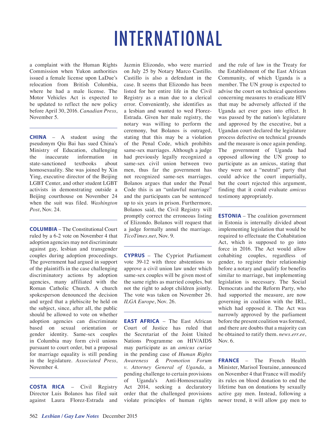### INTERNATIONAL

a complaint with the Human Rights Commission when Yukon authorities issued a female license upon LaDue's relocation from British Columbia, where he had a male license. The Motor Vehicles Act is expected to be updated to reflect the new policy before April 30, 2016. *Canadian Press*, November 5.

**CHINA** – A student using the pseudonym Qiu Bai has sued China's Ministry of Education, challenging the inaccurate information in state-sanctioned textbooks about homosexuality. She was joined by Xin Ying, executive director of the Beijing LGBT Center, and other student LGBT activists in demonstrating outside a Beijing courthouse on November 24 when the suit was filed. *Washington Post*, Nov. 24.

**COLUMBIA** – The Constitutional Court ruled by a 6-2 vote on November 4 that adoption agencies may not discriminate against gay, lesbian and transgender couples during adoption proceedings. The government had argued in support of the plaintiffs in the case challenging discriminatory actions by adoption agencies, many affiliated with the Roman Catholic Church. A church spokesperson denounced the decision and urged that a plebiscite be held on the subject, since, after all, the public should be allowed to vote on whether adoption agencies can discriminate based on sexual orientation or gender identity. Same-sex couples in Columbia may form civil unions pursuant to court order, but a proposal for marriage equality is still pending in the legislature. *Associated Press*, November 4.

**COSTA RICA** – Civil Registry Director Luis Bolanos has filed suit against Laura Florez-Estrada and Jazmin Elizondo, who were married on July 25 by Notary Marco Castillo. Castillo is also a defendant in the case. It seems that Elizondo has been listed for her entire life in the Civil Registry as a man due to a clerical error. Conveniently, she identifies as a lesbian and wanted to wed Florez-Estrada. Given her male registry, the notary was willing to perform the ceremony, but Bolanos is outraged, stating that this may be a violation of the Penal Code, which prohibits same-sex marriages. Although a judge had previously legally recognized a same-sex civil union between two men, thus far the government has not recognized same-sex marriages. Bolanos argues that under the Penal Code this is an "unlawful marriage" and the participants can be sentenced up to six years in prison. Furthermore, Bolanos said, the Civil Registry will promptly correct the erroneous listing of Elizondo. Bolanos will request that a judge formally annul the marriage. *TicoTimes.net*, Nov. 9.

**CYPRUS** – The Cypriot Parliament vote 39-12 with three abstentions to approve a civil union law under which same-sex couples will be given most of the same rights as married couples, but not the right to adopt children jointly. The vote was taken on November 26. *ILGA Europe*, Nov. 26.

**EAST AFRICA** – The East African Court of Justice has ruled that the Secretariat of the Joint United Nations Programme on HIV/AIDS may participate as an *amicus curiae* in the pending case of *Human Rights Awareness & Promotion Forum v. Attorney General of Uganda*, a pending challenge to certain provisions of Uganda's Anti-Homosexuality Act 2014, seeking a declaratory order that the challenged provisions violate principles of human rights and the rule of law in the Treaty for the Establishment of the East African Community, of which Uganda is a member. The UN group is expected to advise the court on technical questions concerning measures to eradicate HIV that may be adversely affected if the Uganda act ever goes into effect. It was passed by the nation's legislature and approved by the executive, but a Ugandan court declared the legislature process defective on technical grounds and the measure is once again pending. The government of Uganda had opposed allowing the UN group to participate as an amicus, stating that they were not a "neutral" party that could advice the court impartially, but the court rejected this argument, finding that it could evaluate *amicus* testimony appropriately.

**ESTONIA** – The coalition government in Estonia is internally divided about implementing legislation that would be required to effectuate the Cohabitation Act, which is supposed to go into force in 2016. The Act would allow cohabiting couples, regardless of gender, to register their relationship before a notary and qualify for benefits similar to marriage, but implementing legislation is necessary. The Social Democrats and the Reform Party, who had supported the measure, are now governing in coalition with the IRL, which had opposed it. The Act was narrowly approved by the parliament before the present coalition was formed, and there are doubts that a majority can be obtained to ratify them. *news.err.ee*, Nov. 6.

**FRANCE** – The French Health Minister, Marisol Touraine, announced on November 4 that France will modify its rules on blood donation to end the lifetime ban on donations by sexually active gay men. Instead, following a newer trend, it will allow gay men to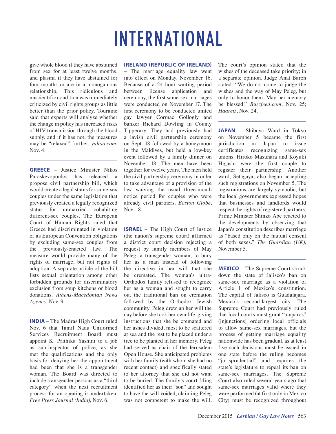### INTERNATIONAL

give whole blood if they have abstained from sex for at least twelve months, and plasma if they have abstained for four months or are in a monogamous relationship. This ridiculous and unscientific condition was immediately criticized by civil rights groups as little better than the prior policy. Touraine said that experts will analyze whether the change in policy has increased risks of HIV transmission through the blood supply, and if it has not, the measures may be "relaxed" further. *yahoo.com*, Nov. 4.

**GREECE** – Justice Minister Nikos Paraskevopoulos has released a propose civil partnership bill, which would create a legal status for same-sex couples under the same legislation that previously created a legally recognized status for unmarried cohabiting different-sex couples. The European Court of Human Rights ruled that Greece had discriminated in violation of its European Convention obligations by excluding same-sex couples from the previously-enacted law. The measure would provide many of the rights of marriage, but not rights of adoption. A separate article of the bill lists sexual orientation among other forbidden grounds for discriminatory exclusion from soup kitchens or blood donations. *Athens-Macedonian News Agency*, Nov. 9.

**INDIA** – The Madras High Court ruled Nov. 6 that Tamil Nadu Uniformed Services Recruitment Board must appoint K. Prithika Yashini to a job as sub-inspector of police, as she met the qualifications and the only basis for denying her the appointment had been that she is a transgender woman. The Board was directed to include transgender persons as a "third category" when the next recruitment process for an opening is undertaken. *Free Press Journal (India)*, Nov. 6.

#### **IRELAND (REPUBLIC OF IRELAND)**

– The marriage equality law went into effect on Monday, November 16. Because of a 24 hour waiting period between license application and ceremony, the first same-sex marriages were conducted on November 17. The first ceremony to be conducted united gay lawyer Cormac Gollogly and banker Richard Dowling in County Tipperary. They had previously had a lavish civil partnership ceremony on Sept. 18 followed by a honeymoon in the Maldives, but held a low-key event followed by a family dinner on November 18. The men have been together for twelve years. The men held the civil partnership ceremony in order to take advantage of a provision of the law waiving the usual three-month notice period for couples who were already civil partners. *Boston Globe*, Nov. 18.

**ISRAEL** – The High Court of Justice (the nation's supreme court) affirmed a district court decision rejecting a request by family members of May Peleg, a transgender woman, to bury her as a man instead of following the directive in her will that she be cremated. The woman's ultra-Orthodox family refused to recognize her as a woman and sought to carry out the traditional ban on cremation followed by the Orthodox Jewish community. Peleg drew up her will the day before she took her own life, giving instructions that she be cremated and her ashes divided, most to be scattered at sea and the rest to be placed under a tree to be planted in her memory. Peleg had served as chair of the Jerusalem Open House. She anticipated problems with her family (with whom she had no recent contact) and specifically stated to her attorney that she did not want to be buried. The family's court filing identified her as their "son" and sought to have the will voided, claiming Peleg was not competent to make the will. The court's opinion stated that the wishes of the deceased take priority; in a separate opinion, Judge Anat Baron stated: "We do not come to judge the wishes and the way of May Peleg, but only to honor them. May her memory be blessed." *Buzzfeed.com*, Nov. 25; *Haaretz*, Nov. 24.

**JAPAN** – Shibuya Ward in Tokyo on November 5 became the first jurisdiction in Japan to issue certificates recognizing same-sex unions. Hiroko Masuhara and Koyuki Higashi were the first couple to register their partnership. Another ward, Setagaya, also began accepting such registrations on November 5. The registrations are largely symbolic, but the local governments expressed hopes that businesses and landlords would respect the rights of registered partners. Prime Minister Shinzo Abe reacted to the developments by observing that Japan's constitution describes marriage as "based only on the mutual consent of both sexes." *The Guardian (UK)*, November 5.

**MEXICO** – The Supreme Court struck down the state of Jalisco's ban on same-sex marriage as a violation of Article 1 of Mexico's constitution. The capital of Jalisco is Guadalajara, Mexico's second-largest city. The Supreme Court had previously ruled that local courts must grant "amparos" (injunctions) ordering local officials to allow same-sex marriages, but the process of getting marriage equality nationwide has been gradual, as at least five such decisions must be issued in one state before the ruling becomes "jurisprudential" and requires the state's legislature to repeal its ban on same-sex marriages. The Supreme Court also ruled several years ago that same-sex marriages valid where they were performed (at first only in Mexico City) must be recognized throughout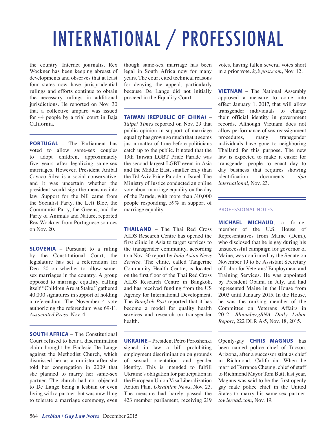# INTERNATIONAL / PROFESSIONAL

the country. Internet journalist Rex Wockner has been keeping abreast of developments and observes that at least four states now have jurisprudential rulings and efforts continue to obtain the necessary rulings in additional jurisdictions. He reported on Nov. 30 that a collective amparo was issued for 44 people by a trial court in Baja California.

**PORTUGAL** – The Parliament has voted to allow same-sex couples to adopt children, approximately five years after legalizing same-sex marriages. However, President Anibal Cavaco Silva is a social conservative, and it was uncertain whether the president would sign the measure into law. Support for the bill came from the Socialist Party, the Left Bloc, the Communist Party, the Greens, and the Party of Animals and Nature, reported Rex Wockner from Portuguese sources on Nov. 20.

**SLOVENIA** – Pursuant to a ruling by the Constitutional Court, the legislature has set a referendum for Dec. 20 on whether to allow samesex marriages in the country. A group opposed to marriage equality, calling itself "Children Are at Stake," gathered 40,000 signatures in support of holding a referendum. The November 4 vote authorizing the referendum was 69-11. *Associated Press*, Nov. 4.

**SOUTH AFRICA** – The Constitutional Court refused to hear a discrimination claim brought by Ecclesia De Lange against the Methodist Church, which dismissed her as a minister after she told her congregation in 2009 that she planned to marry her same-sex partner. The church had not objected to De Lange being a lesbian or even living with a partner, but was unwilling to tolerate a marriage ceremony, even

though same-sex marriage has been legal in South Africa now for many years. The court cited technical reasons for denying the appeal, particularly because De Lange did not initially proceed in the Equality Court.

**TAIWAN (REPUBLIC OF CHINA)** –

*Taipei Times* reported on Nov. 29 that public opinion in support of marriage equality has grown so much that it seems just a matter of time before politicians catch up to the public. It noted that the 13th Taiwan LGBT Pride Parade was the second largest LGBT event in Asia and the Middle East, smaller only than the Tel Aviv Pride Parade in Israel. The Ministry of Justice conducted an online vote about marriage equality on the day of the Parade, with more than 310,000 people responding, 59% in support of marriage equality.

**THAILAND** – The Thai Red Cross AIDS Research Centre has opened the first clinic in Asia to target services to the transgender community, according to a Nov. 30 report by *Indo Asian News Service*. The clinic, called Tangerine Community Health Centre, is located on the first floor of the Thai Red Cross AIDS Research Centre in Bangkok, and has received funding from the US Agency for International Development. The *Bangkok Post* reported that it has become a model for quality health services and research on transgender health.

**UKRAINE** – President Petro Poroshenki signed in law a bill prohibiting employment discrimination on grounds of sexual orientation and gender identity. This is intended to fulfill Ukraine's obligation for participation in the European Union Visa Liberalization Action Plan. *Ukrainian News*, Nov. 23. The measure had barely passed the 423 member parliament, receiving 219 votes, having fallen several votes short in a prior vote. *kyivpost.com*, Nov. 12.

**VIETNAM** – The National Assembly approved a measure to come into effect January 1, 2017, that will allow transgender individuals to change their official identity in government records. Although Vietnam does not allow performance of sex reassignment procedures, many transgender individuals have gone to neighboring Thailand for this purpose. The new law is expected to make it easier for transgender people to enact day to day business that requires showing identification documents. *dpa international*, Nov. 23.

#### PROFESSIONAL NOTES

**MICHAEL MICHAUD**, a former member of the U.S. House of Representatives from Maine (Dem.), who disclosed that he is gay during his unsuccessful campaign for governor of Maine, was confirmed by the Senate on November 19 to be Assistant Secretary of Labor for Veterans' Employment and Training Services. He was appointed by President Obama in July, and had represented Maine in the House from 2003 until January 2015. In the House, he was the ranking member of the Committee on Veterans Affairs in 2012. *BloombergBNA Daily Labor Report*, 222 DLR A-5, Nov. 18, 2015.

Openly-gay **CHRIS MAGNUS** has been named police chief of Tucson, Arizona, after a successor stint as chief in Richmond, California. When he married Terrance Cheung, chief of staff to Richmond Mayor Tom Butt, last year, Magnus was said to be the first openly gay male police chief in the United States to marry his same-sex partner. *towleroad.com*, Nov. 19.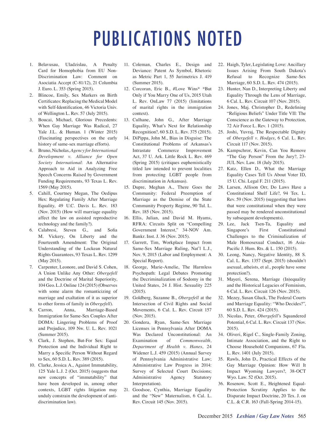### PUBLICATIONS NOTED

- 1. Belavusau, Uladzislau, A Penalty Card for Homophobia from EU Non-Discrimination Law: Comment on Asociatia Accept (C-81/12), 21 Columbia J. Euro. L. 353 (Spring 2015).
- 2. Blincoe, Emily, Sex Markers on Birth Certificates: Replacing the Medical Model with Self-Identification, 46 Victoria Univ. of Wellington L. Rev. 57 (July 2015).
- 3. Boucai, Michael, Glorious Precedents: When Gay Marriage Was Radical, 27 Yale J.L. & Human. 1 (Winter 2015) (Fascinating perspectives on the early history of same-sex marriage efforts).
- 4. Bruno, Nicholas, *Agency for International Development v. Alliance for Open Society International*: An Alternative Approach to Aid in Analyzing Free Speech Concerns Raised by Government Funding Requirements, 93 Texas L. Rev. 1569 (May 2015).
- 5. Cahill, Courtney Megan, The Oedipus Hex: Regulating Family After Marriage Equality, 49 U.C. Davis L. Rev. 183 (Nov. 2015) (How will marriage equality affect the law on assisted reproductive technology and the family?).
- 6. Calabresi, Steven G., and Sofia M. Vickery, On Liberty and the Fourteenth Amendment: The Original Understanding of the Lockean Natural Rights Guarantees, 93 Texas L. Rev. 1299 (May 2015).
- 7. Carpenter, Leonore, and David S. Cohen, A Union Unlike Any Other: *Obergefell* and the Doctrine of Marital Superiority, 104 Geo. L.J. Online 124 (2015) (Observes with some alarm the romanticizing of marriage and exaltation of it as superior to other forms of family in *Obergefell*).
- 8. Carron, Anna, Marriage-Based Immigration for Same-Sex Couples After DOMA: Lingering Problems of Proof and Prejudice, 109 Nw. U. L. Rev. 1021 (Summer 2015).
- 9. Clark, J. Stephen, But-For Sex: Equal Protection and the Individual Right to Marry a Specific Person Without Regard to Sex, 60 S.D. L. Rev. 389 (2015).
- 10. Clarke, Jessica A., Against Immutability, 125 Yale L.J. 2 (Oct. 2015) (suggests that new concepts of "immutability" that have been developed in, among other contexts, LGBT rights litigation may unduly constrain the development of antidiscrimination law).
- 11. Coleman, Charles E., Design and Deviance: Patent As Symbol, Rhetoric as Metric Part 1, 55 Jurimetrics J. 419 (Summer 2015).
- 12. Corcoran, Eric B., #Love Wins\* \*But Only if You Marry One of Us, 2015 Utah L. Rev. OnLaw 77 (2015) (limitations of marital rights in the immigration context).
- 13. Culhane, John G., After Marriage Equality, What's Next for Relationship Recognition?, 60 S.D. L. Rev. 375 (2015).
- 14. DiPippa, John M., Bias in Disguise: The Constitutional Problems of Arkansas's Intrastate Commerce Improvement Act, 37 U. Ark. Little Rock L. Rev. 469 (Spring 2015) (critiques euphemistically titled law intended to prevent localities from protecting LGBT people from discrimination in Arkansas).
- 15. Dupre, Meghan A., There Goes the Community: Federal Preemption of Marriage as the Demise of the State Community Property Regime, 90 Tul. L. Rev. 185 (Nov. 2015).
- 16. Ellis, Julian, and David M. Hyams, RFRA: Circuits Split on "Compelling Government Interest," 34-NOV Am. Bankr. Inst. J. 36 (Nov. 2015).
- 17. Garrett, Tim, Workplace Impact from Same-Sex Marriage Ruling, Nat'l L.J., Nov. 9, 2015 (Labor and Employment: A Special Report).
- 18. George, Marie-Amelie, The Harmless Psychopath: Legal Debates Promoting the Decriminalization of Sodomy in the United States, 24 J. Hist. Sexuality 225 (2015).
- 19. Goldberg, Suzanne B., *Obergefell* at the Intersection of Civil Rights and Social Movements, 6 Cal. L. Rev. Circuit 157 (Nov. 2015).
- 20. Gondera, Ryan, Same-Sex Marriage Licenses in Pennsylvania After DOMA Was Declared Unconstitutional: An Examination of *Commonwealth, Department of Health v. Hanes*, 24 Widener L.J. 459 (2015) (Annual Survey of Pennsylvania Administrative Law; Administrative Law Progress in 2014: Survey of Selected Court Decisions; Administrative Agency Statutory Interpretation).
- 21. Goodsoe, Cynthia, Marriage Equality and the "New" Maternalism, 6 Cal. L. Rev. Circuit 145 (Nov. 2015).
- 22. Haigh, Tyler, Legislating Love: Ancillary Issues Arising From South Dakota's Refusal to Recognize Same-Sex Marriage, 60 S.D. L. Rev. 474 (2015).
- 23. Hunter, Nan D., Interpreting Liberty and Equality Through the Lens of Marriage, 6 Cal. L. Rev. Circuit 107 (Nov. 2015).
- 24. Jones, Maj. Christopher D., Redefining "Religious Beliefs" Under Title VII: The Conscience as the Gateway to Protection, 72 Air Force L. Rev. 1 (2015).
- 25. Joshi, Yuvraj, The Respectable Dignity of *Obergefell v. Hodges*, 6 Cal. L. Rev. Circuit 117 (Nov. 2015).
- 26. Kampschror, Kevin, Can You Remove "The Gay Person" From the Jury?, 23-JUL Nev. Law. 18 (July 2015).
- 27. Katz, Ellen D., What the Marriage Equality Cases Tell Us About Voter ID, 15 U. Chi. Legal F. 211 (2015).
- 28. Larsen, Allison Orr, Do Laws Have a Constitutional Shelf Life?, 94 Tex. L. Rev. 59 (Nov. 2015) (suggesting that laws that were constitutional when they were passed may be rendered unconstitutional by subsequent developments).
- 29. Lee, Jack Tsen-Ta, Equality and Singapore's First Constitutional Challenges to the Criminalization of Male Homosexual Conduct, 16 Asia-Pacific J. Hum. Rts. & L. 150 (2015).
- 30. Leong, Nancy, Negative Identity, 88 S. Cal. L. Rev. 1357 (Sept. 2015) (shouldn't asexual, atheists, et al., people have some protection?).
- 31. Mayeri, Serena, Marriage (In)equality and the Historical Legacies of Feminism, 6 Cal. L. Rev. Circuit 126 (Nov. 2015).
- 32. Mezey, Susan Gluck, The Federal Courts and Marriage Equality: "Who Decides?", 60 S.D. L. Rev. 424 (2015).
- 33. Nicolas, Peter, *Obergefell*'s Squandered Potential, 6 Cal. L. Rev. Circuit 137 (Nov. 2015).
- 34. Oliveri, Rigel C., Single-Family Zoning, Intimate Association, and the Right to Choose Household Companions, 67 Fla. L. Rev. 1401 (July 2015).
- 35. Rawls, John D., Practical Effects of the Gay Marriage Opinion: How Will It Impact Wyoming Lawyers?, 38-OCT Wyo. Law. 52 (Oct. 2015).
- 36. Rosenow, Scott E., Heightened Equal-Protection Scrutiny Applies to the Disparate Impact Doctrine, 20 Tex. J. on C.L. & C.R. 163 (Fall-Spring 2014-15).